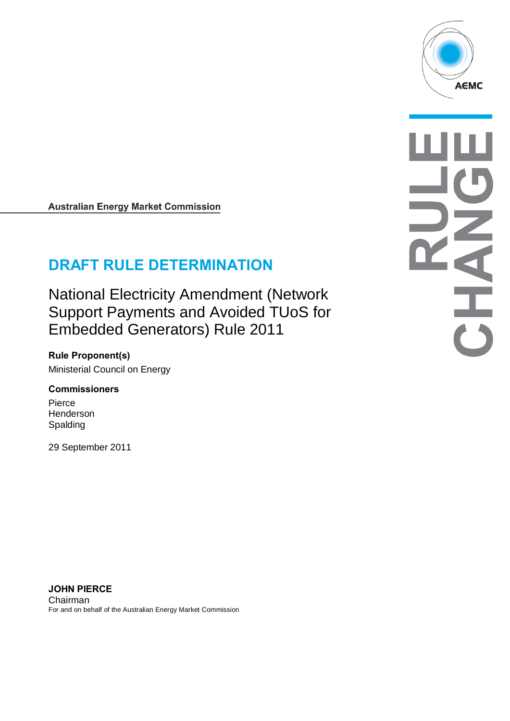

**Australian Energy Market Commission** 

# **DRAFT RULE DETERMINATION**

National Electricity Amendment (Network Support Payments and Avoided TUoS for Embedded Generators) Rule 2011

**Rule Proponent(s)** Ministerial Council on Energy

#### **Commissioners**

Pierce Henderson Spalding

29 September 2011

**JOHN PIERCE** Chairman For and on behalf of the Australian Energy Market Commission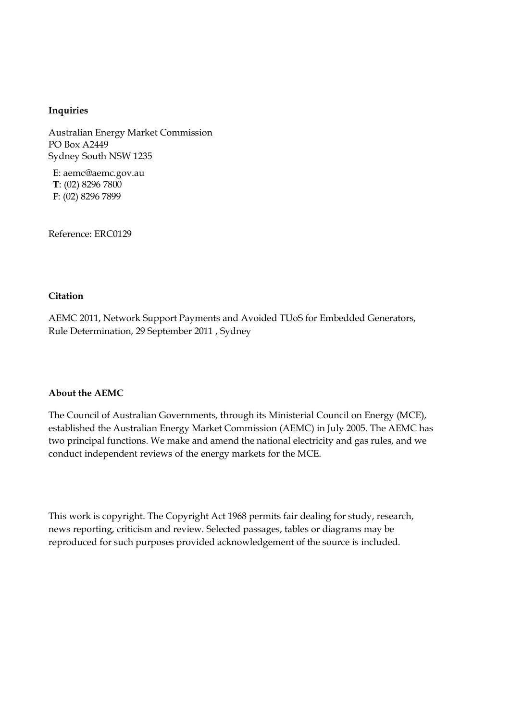#### **Inquiries**

Australian Energy Market Commission PO Box A2449 Sydney South NSW 1235

**E**: aemc@aemc.gov.au **T**: (02) 8296 7800 **F**: (02) 8296 7899

Reference: ERC0129

#### **Citation**

AEMC 2011, Network Support Payments and Avoided TUoS for Embedded Generators, Rule Determination, 29 September 2011 , Sydney

#### **About the AEMC**

The Council of Australian Governments, through its Ministerial Council on Energy (MCE), established the Australian Energy Market Commission (AEMC) in July 2005. The AEMC has two principal functions. We make and amend the national electricity and gas rules, and we conduct independent reviews of the energy markets for the MCE.

This work is copyright. The Copyright Act 1968 permits fair dealing for study, research, news reporting, criticism and review. Selected passages, tables or diagrams may be reproduced for such purposes provided acknowledgement of the source is included.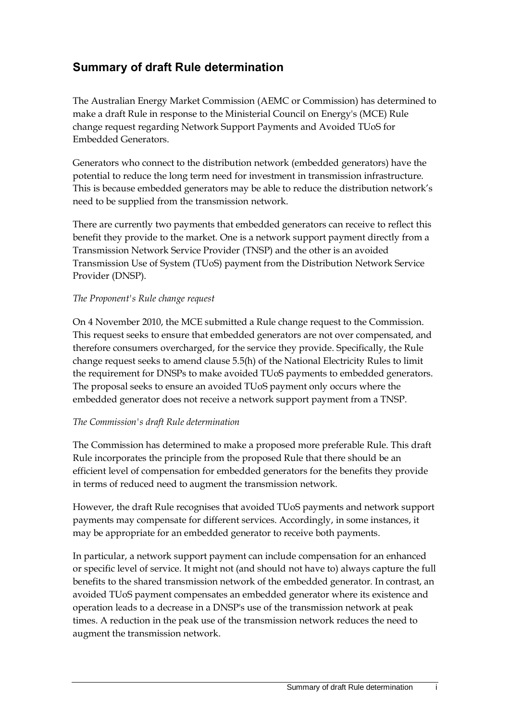## **Summary of draft Rule determination**

The Australian Energy Market Commission (AEMC or Commission) has determined to make a draft Rule in response to the Ministerial Council on Energy's (MCE) Rule change request regarding Network Support Payments and Avoided TUoS for Embedded Generators.

Generators who connect to the distribution network (embedded generators) have the potential to reduce the long term need for investment in transmission infrastructure. This is because embedded generators may be able to reduce the distribution network's need to be supplied from the transmission network.

There are currently two payments that embedded generators can receive to reflect this benefit they provide to the market. One is a network support payment directly from a Transmission Network Service Provider (TNSP) and the other is an avoided Transmission Use of System (TUoS) payment from the Distribution Network Service Provider (DNSP).

#### *The Proponent's Rule change request*

On 4 November 2010, the MCE submitted a Rule change request to the Commission. This request seeks to ensure that embedded generators are not over compensated, and therefore consumers overcharged, for the service they provide. Specifically, the Rule change request seeks to amend clause 5.5(h) of the National Electricity Rules to limit the requirement for DNSPs to make avoided TUoS payments to embedded generators. The proposal seeks to ensure an avoided TUoS payment only occurs where the embedded generator does not receive a network support payment from a TNSP.

### *The Commission's draft Rule determination*

The Commission has determined to make a proposed more preferable Rule. This draft Rule incorporates the principle from the proposed Rule that there should be an efficient level of compensation for embedded generators for the benefits they provide in terms of reduced need to augment the transmission network.

However, the draft Rule recognises that avoided TUoS payments and network support payments may compensate for different services. Accordingly, in some instances, it may be appropriate for an embedded generator to receive both payments.

In particular, a network support payment can include compensation for an enhanced or specific level of service. It might not (and should not have to) always capture the full benefits to the shared transmission network of the embedded generator. In contrast, an avoided TUoS payment compensates an embedded generator where its existence and operation leads to a decrease in a DNSP's use of the transmission network at peak times. A reduction in the peak use of the transmission network reduces the need to augment the transmission network.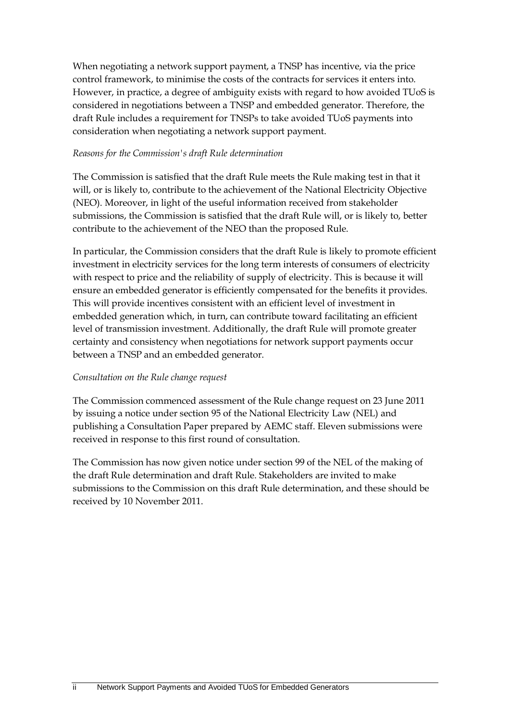When negotiating a network support payment, a TNSP has incentive, via the price control framework, to minimise the costs of the contracts for services it enters into. However, in practice, a degree of ambiguity exists with regard to how avoided TUoS is considered in negotiations between a TNSP and embedded generator. Therefore, the draft Rule includes a requirement for TNSPs to take avoided TUoS payments into consideration when negotiating a network support payment.

#### *Reasons for the Commission's draft Rule determination*

The Commission is satisfied that the draft Rule meets the Rule making test in that it will, or is likely to, contribute to the achievement of the National Electricity Objective (NEO). Moreover, in light of the useful information received from stakeholder submissions, the Commission is satisfied that the draft Rule will, or is likely to, better contribute to the achievement of the NEO than the proposed Rule.

In particular, the Commission considers that the draft Rule is likely to promote efficient investment in electricity services for the long term interests of consumers of electricity with respect to price and the reliability of supply of electricity. This is because it will ensure an embedded generator is efficiently compensated for the benefits it provides. This will provide incentives consistent with an efficient level of investment in embedded generation which, in turn, can contribute toward facilitating an efficient level of transmission investment. Additionally, the draft Rule will promote greater certainty and consistency when negotiations for network support payments occur between a TNSP and an embedded generator.

### *Consultation on the Rule change request*

The Commission commenced assessment of the Rule change request on 23 June 2011 by issuing a notice under section 95 of the National Electricity Law (NEL) and publishing a Consultation Paper prepared by AEMC staff. Eleven submissions were received in response to this first round of consultation.

The Commission has now given notice under section 99 of the NEL of the making of the draft Rule determination and draft Rule. Stakeholders are invited to make submissions to the Commission on this draft Rule determination, and these should be received by 10 November 2011.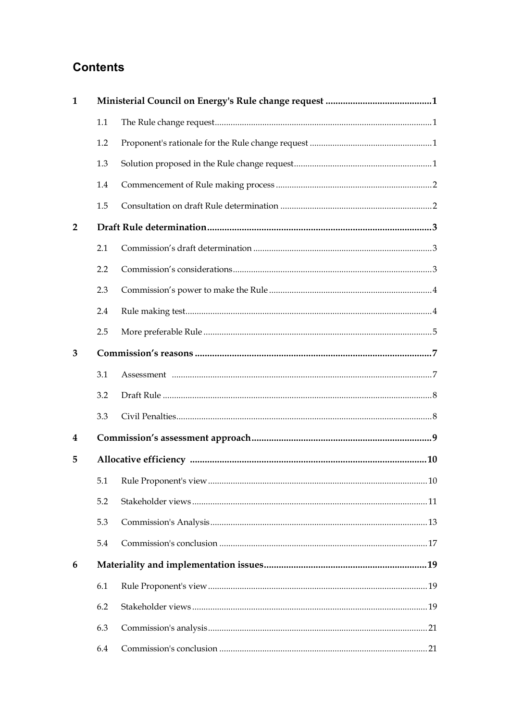## **Contents**

| 1              |     |  |  |
|----------------|-----|--|--|
|                | 1.1 |  |  |
|                | 1.2 |  |  |
|                | 1.3 |  |  |
|                | 1.4 |  |  |
|                | 1.5 |  |  |
| $\overline{2}$ |     |  |  |
|                | 2.1 |  |  |
|                | 2.2 |  |  |
|                | 2.3 |  |  |
|                | 2.4 |  |  |
|                | 2.5 |  |  |
| 3              |     |  |  |
|                | 3.1 |  |  |
|                | 3.2 |  |  |
|                | 3.3 |  |  |
| 4              |     |  |  |
| 5              |     |  |  |
|                |     |  |  |
|                | 5.2 |  |  |
|                | 5.3 |  |  |
|                | 5.4 |  |  |
| 6              |     |  |  |
|                | 6.1 |  |  |
|                | 6.2 |  |  |
|                | 6.3 |  |  |
|                | 6.4 |  |  |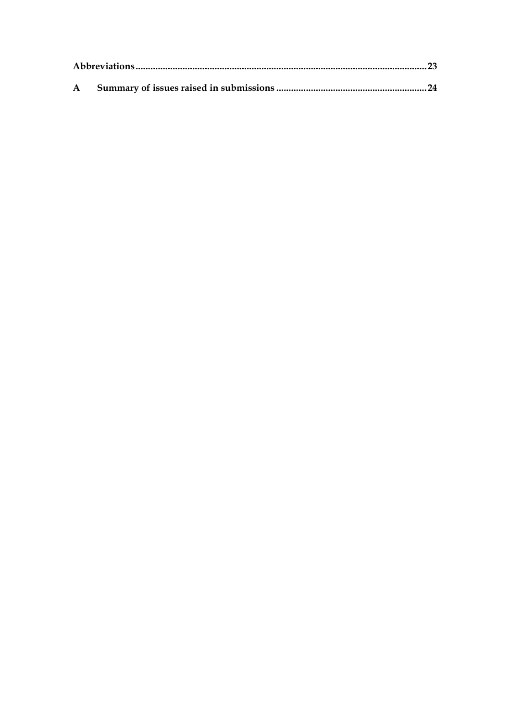| ${\bf A}$ |  |
|-----------|--|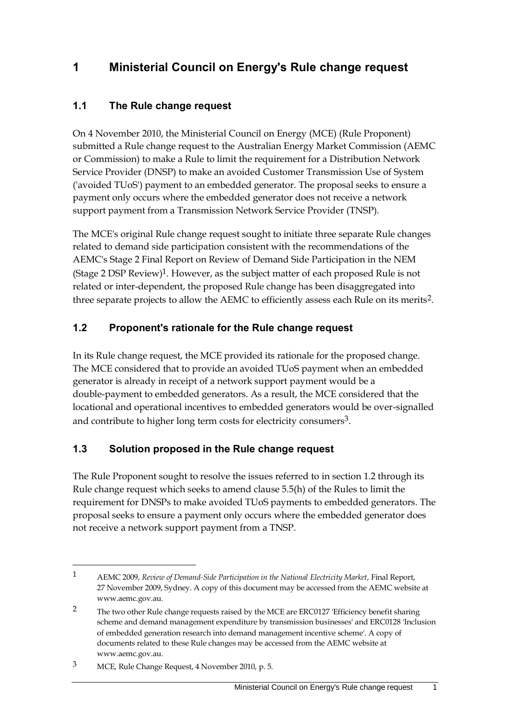## <span id="page-6-0"></span>**1 Ministerial Council on Energy's Rule change request**

### <span id="page-6-1"></span>**1.1 The Rule change request**

On 4 November 2010, the Ministerial Council on Energy (MCE) (Rule Proponent) submitted a Rule change request to the Australian Energy Market Commission (AEMC or Commission) to make a Rule to limit the requirement for a Distribution Network Service Provider (DNSP) to make an avoided Customer Transmission Use of System ('avoided TUoS') payment to an embedded generator. The proposal seeks to ensure a payment only occurs where the embedded generator does not receive a network support payment from a Transmission Network Service Provider (TNSP).

The MCE's original Rule change request sought to initiate three separate Rule changes related to demand side participation consistent with the recommendations of the AEMC's Stage 2 Final Report on Review of Demand Side Participation in the NEM (Stage 2 DSP Review) 1. However, as the subject matter of each proposed Rule is not related or inter-dependent, the proposed Rule change has been disaggregated into three separate projects to allow the AEMC to efficiently assess each Rule on its merits<sup>2</sup>.

### <span id="page-6-2"></span>**1.2 Proponent's rationale for the Rule change request**

In its Rule change request, the MCE provided its rationale for the proposed change. The MCE considered that to provide an avoided TUoS payment when an embedded generator is already in receipt of a network support payment would be a double-payment to embedded generators. As a result, the MCE considered that the locational and operational incentives to embedded generators would be over-signalled and contribute to higher long term costs for electricity consumers<sup>3</sup>.

### <span id="page-6-3"></span>**1.3 Solution proposed in the Rule change request**

The Rule Proponent sought to resolve the issues referred to in section 1.2 through its Rule change request which seeks to amend clause 5.5(h) of the Rules to limit the requirement for DNSPs to make avoided TUoS payments to embedded generators. The proposal seeks to ensure a payment only occurs where the embedded generator does not receive a network support payment from a TNSP.

<sup>1</sup> AEMC 2009, *Review of Demand-Side Participation in the National Electricity Market*, Final Report, 27 November 2009, Sydney. A copy of this document may be accessed from the AEMC website at www.aemc.gov.au.

<sup>&</sup>lt;sup>2</sup> The two other Rule change requests raised by the MCE are ERC0127 'Efficiency benefit sharing scheme and demand management expenditure by transmission businesses' and ERC0128 'Inclusion of embedded generation research into demand management incentive scheme'. A copy of documents related to these Rule changes may be accessed from the AEMC website at www.aemc.gov.au.

<sup>3</sup> MCE, Rule Change Request, 4 November 2010, p. 5.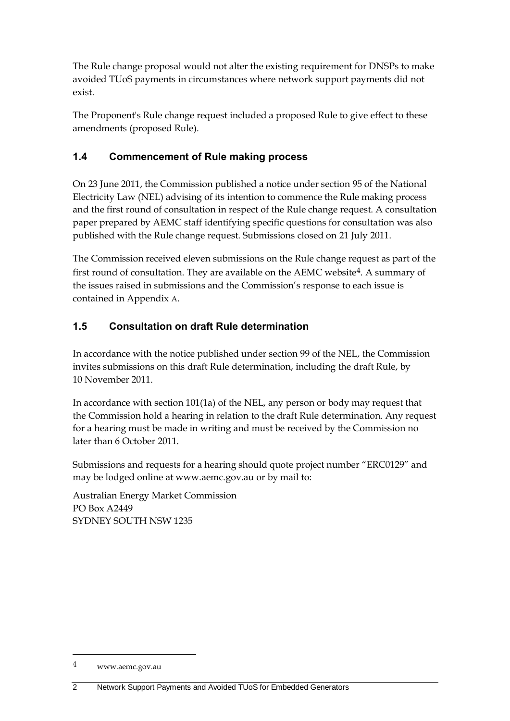The Rule change proposal would not alter the existing requirement for DNSPs to make avoided TUoS payments in circumstances where network support payments did not exist.

The Proponent's Rule change request included a proposed Rule to give effect to these amendments (proposed Rule).

## <span id="page-7-0"></span>**1.4 Commencement of Rule making process**

On 23 June 2011, the Commission published a notice under section 95 of the National Electricity Law (NEL) advising of its intention to commence the Rule making process and the first round of consultation in respect of the Rule change request. A consultation paper prepared by AEMC staff identifying specific questions for consultation was also published with the Rule change request. Submissions closed on 21 July 2011.

The Commission received eleven submissions on the Rule change request as part of the first round of consultation. They are available on the AEMC website<sup>4</sup>. A summary of the issues raised in submissions and the Commission's response to each issue is contained in Appendix [A](#page-29-0).

## <span id="page-7-1"></span>**1.5 Consultation on draft Rule determination**

In accordance with the notice published under section 99 of the NEL, the Commission invites submissions on this draft Rule determination, including the draft Rule, by 10 November 2011.

In accordance with section 101(1a) of the NEL, any person or body may request that the Commission hold a hearing in relation to the draft Rule determination. Any request for a hearing must be made in writing and must be received by the Commission no later than 6 October 2011.

Submissions and requests for a hearing should quote project number "ERC0129" and may be lodged online at www.aemc.gov.au or by mail to:

Australian Energy Market Commission PO Box A2449 SYDNEY SOUTH NSW 1235

<sup>4</sup> www.aemc.gov.au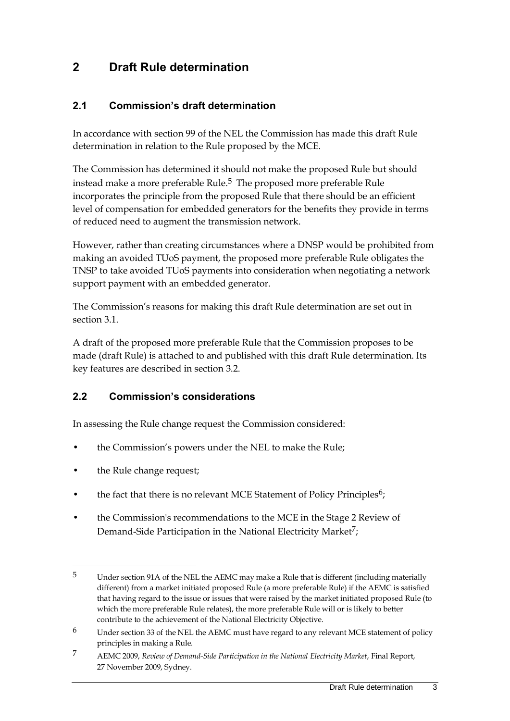## <span id="page-8-0"></span>**2 Draft Rule determination**

### <span id="page-8-1"></span>**2.1 Commission's draft determination**

In accordance with section 99 of the NEL the Commission has made this draft Rule determination in relation to the Rule proposed by the MCE.

The Commission has determined it should not make the proposed Rule but should instead make a more preferable Rule.<sup>5</sup> The proposed more preferable Rule incorporates the principle from the proposed Rule that there should be an efficient level of compensation for embedded generators for the benefits they provide in terms of reduced need to augment the transmission network.

However, rather than creating circumstances where a DNSP would be prohibited from making an avoided TUoS payment, the proposed more preferable Rule obligates the TNSP to take avoided TUoS payments into consideration when negotiating a network support payment with an embedded generator.

The Commission's reasons for making this draft Rule determination are set out in section [3.1.](#page-12-1)

A draft of the proposed more preferable Rule that the Commission proposes to be made (draft Rule) is attached to and published with this draft Rule determination. Its key features are described in section [3.2.](#page-13-0)

### <span id="page-8-2"></span>**2.2 Commission's considerations**

In assessing the Rule change request the Commission considered:

- the Commission's powers under the NEL to make the Rule;
- the Rule change request;

- the fact that there is no relevant MCE Statement of Policy Principles<sup>6</sup>;
- the Commission's recommendations to the MCE in the Stage 2 Review of Demand-Side Participation in the National Electricity Market<sup>7</sup>;

<sup>5</sup> Under section 91A of the NEL the AEMC may make a Rule that is different (including materially different) from a market initiated proposed Rule (a more preferable Rule) if the AEMC is satisfied that having regard to the issue or issues that were raised by the market initiated proposed Rule (to which the more preferable Rule relates), the more preferable Rule will or is likely to better contribute to the achievement of the National Electricity Objective.

<sup>6</sup> Under section 33 of the NEL the AEMC must have regard to any relevant MCE statement of policy principles in making a Rule.

<sup>7</sup> AEMC 2009, *Review of Demand-Side Participation in the National Electricity Market*, Final Report, 27 November 2009, Sydney.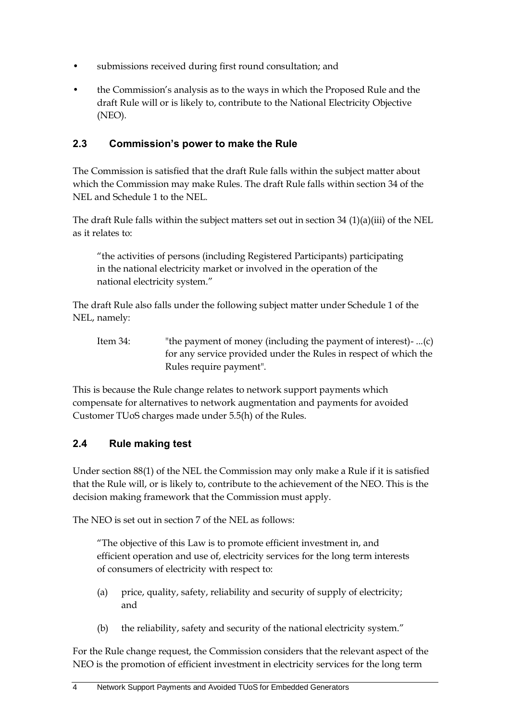- submissions received during first round consultation; and
- the Commission's analysis as to the ways in which the Proposed Rule and the draft Rule will or is likely to, contribute to the National Electricity Objective (NEO).

### <span id="page-9-0"></span>**2.3 Commission's power to make the Rule**

The Commission is satisfied that the draft Rule falls within the subject matter about which the Commission may make Rules. The draft Rule falls within section 34 of the NEL and Schedule 1 to the NEL.

The draft Rule falls within the subject matters set out in section 34 (1)(a)(iii) of the NEL as it relates to:

"the activities of persons (including Registered Participants) participating in the national electricity market or involved in the operation of the national electricity system."

The draft Rule also falls under the following subject matter under Schedule 1 of the NEL, namely:

Item 34: "the payment of money (including the payment of interest)- ...(c) for any service provided under the Rules in respect of which the Rules require payment".

This is because the Rule change relates to network support payments which compensate for alternatives to network augmentation and payments for avoided Customer TUoS charges made under 5.5(h) of the Rules.

## <span id="page-9-1"></span>**2.4 Rule making test**

Under section 88(1) of the NEL the Commission may only make a Rule if it is satisfied that the Rule will, or is likely to, contribute to the achievement of the NEO. This is the decision making framework that the Commission must apply.

The NEO is set out in section 7 of the NEL as follows:

"The objective of this Law is to promote efficient investment in, and efficient operation and use of, electricity services for the long term interests of consumers of electricity with respect to:

- (a) price, quality, safety, reliability and security of supply of electricity; and
- (b) the reliability, safety and security of the national electricity system."

For the Rule change request, the Commission considers that the relevant aspect of the NEO is the promotion of efficient investment in electricity services for the long term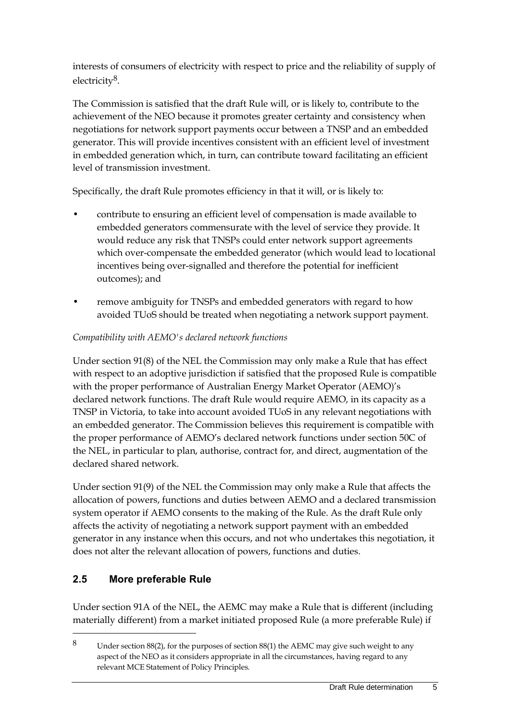interests of consumers of electricity with respect to price and the reliability of supply of electricity8.

The Commission is satisfied that the draft Rule will, or is likely to, contribute to the achievement of the NEO because it promotes greater certainty and consistency when negotiations for network support payments occur between a TNSP and an embedded generator. This will provide incentives consistent with an efficient level of investment in embedded generation which, in turn, can contribute toward facilitating an efficient level of transmission investment.

Specifically, the draft Rule promotes efficiency in that it will, or is likely to:

- contribute to ensuring an efficient level of compensation is made available to embedded generators commensurate with the level of service they provide. It would reduce any risk that TNSPs could enter network support agreements which over-compensate the embedded generator (which would lead to locational incentives being over-signalled and therefore the potential for inefficient outcomes); and
- remove ambiguity for TNSPs and embedded generators with regard to how avoided TUoS should be treated when negotiating a network support payment.

### *Compatibility with AEMO's declared network functions*

Under section 91(8) of the NEL the Commission may only make a Rule that has effect with respect to an adoptive jurisdiction if satisfied that the proposed Rule is compatible with the proper performance of Australian Energy Market Operator (AEMO)'s declared network functions. The draft Rule would require AEMO, in its capacity as a TNSP in Victoria, to take into account avoided TUoS in any relevant negotiations with an embedded generator. The Commission believes this requirement is compatible with the proper performance of AEMO's declared network functions under section 50C of the NEL, in particular to plan, authorise, contract for, and direct, augmentation of the declared shared network.

Under section 91(9) of the NEL the Commission may only make a Rule that affects the allocation of powers, functions and duties between AEMO and a declared transmission system operator if AEMO consents to the making of the Rule. As the draft Rule only affects the activity of negotiating a network support payment with an embedded generator in any instance when this occurs, and not who undertakes this negotiation, it does not alter the relevant allocation of powers, functions and duties.

## <span id="page-10-0"></span>**2.5 More preferable Rule**

 $\overline{a}$ 

Under section 91A of the NEL, the AEMC may make a Rule that is different (including materially different) from a market initiated proposed Rule (a more preferable Rule) if

<sup>8</sup> Under section 88(2), for the purposes of section 88(1) the AEMC may give such weight to any aspect of the NEO as it considers appropriate in all the circumstances, having regard to any relevant MCE Statement of Policy Principles.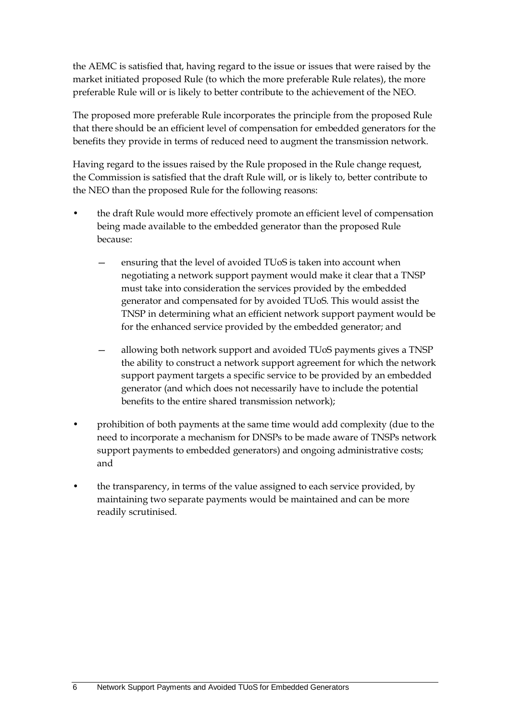the AEMC is satisfied that, having regard to the issue or issues that were raised by the market initiated proposed Rule (to which the more preferable Rule relates), the more preferable Rule will or is likely to better contribute to the achievement of the NEO.

The proposed more preferable Rule incorporates the principle from the proposed Rule that there should be an efficient level of compensation for embedded generators for the benefits they provide in terms of reduced need to augment the transmission network.

Having regard to the issues raised by the Rule proposed in the Rule change request, the Commission is satisfied that the draft Rule will, or is likely to, better contribute to the NEO than the proposed Rule for the following reasons:

- the draft Rule would more effectively promote an efficient level of compensation being made available to the embedded generator than the proposed Rule because:
	- ensuring that the level of avoided TUoS is taken into account when negotiating a network support payment would make it clear that a TNSP must take into consideration the services provided by the embedded generator and compensated for by avoided TUoS. This would assist the TNSP in determining what an efficient network support payment would be for the enhanced service provided by the embedded generator; and
	- allowing both network support and avoided TUoS payments gives a TNSP the ability to construct a network support agreement for which the network support payment targets a specific service to be provided by an embedded generator (and which does not necessarily have to include the potential benefits to the entire shared transmission network);
- prohibition of both payments at the same time would add complexity (due to the need to incorporate a mechanism for DNSPs to be made aware of TNSPs network support payments to embedded generators) and ongoing administrative costs; and
- the transparency, in terms of the value assigned to each service provided, by maintaining two separate payments would be maintained and can be more readily scrutinised.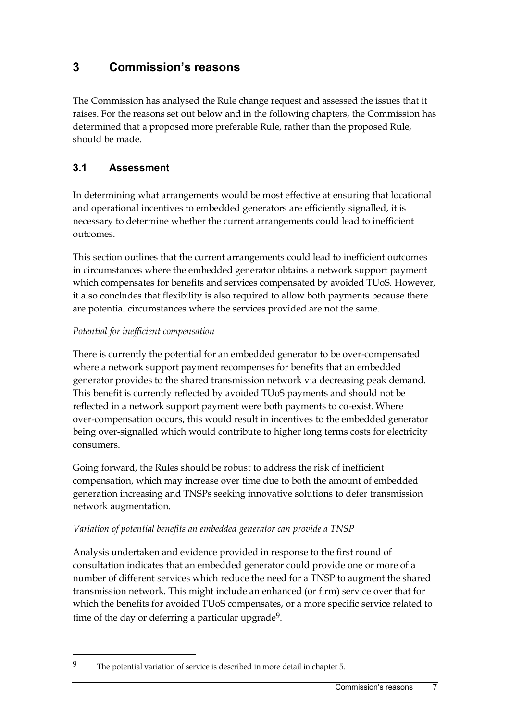## <span id="page-12-0"></span>**3 Commission's reasons**

The Commission has analysed the Rule change request and assessed the issues that it raises. For the reasons set out below and in the following chapters, the Commission has determined that a proposed more preferable Rule, rather than the proposed Rule, should be made.

## <span id="page-12-1"></span>**3.1 Assessment**

In determining what arrangements would be most effective at ensuring that locational and operational incentives to embedded generators are efficiently signalled, it is necessary to determine whether the current arrangements could lead to inefficient outcomes.

This section outlines that the current arrangements could lead to inefficient outcomes in circumstances where the embedded generator obtains a network support payment which compensates for benefits and services compensated by avoided TUoS. However, it also concludes that flexibility is also required to allow both payments because there are potential circumstances where the services provided are not the same.

### *Potential for inefficient compensation*

 $\overline{a}$ 

There is currently the potential for an embedded generator to be over-compensated where a network support payment recompenses for benefits that an embedded generator provides to the shared transmission network via decreasing peak demand. This benefit is currently reflected by avoided TUoS payments and should not be reflected in a network support payment were both payments to co-exist. Where over-compensation occurs, this would result in incentives to the embedded generator being over-signalled which would contribute to higher long terms costs for electricity consumers.

Going forward, the Rules should be robust to address the risk of inefficient compensation, which may increase over time due to both the amount of embedded generation increasing and TNSPs seeking innovative solutions to defer transmission network augmentation.

### *Variation of potential benefits an embedded generator can provide a TNSP*

Analysis undertaken and evidence provided in response to the first round of consultation indicates that an embedded generator could provide one or more of a number of different services which reduce the need for a TNSP to augment the shared transmission network. This might include an enhanced (or firm) service over that for which the benefits for avoided TUoS compensates, or a more specific service related to time of the day or deferring a particular upgrade<sup>9</sup>.

<sup>9</sup> The potential variation of service is described in more detail in chapter 5.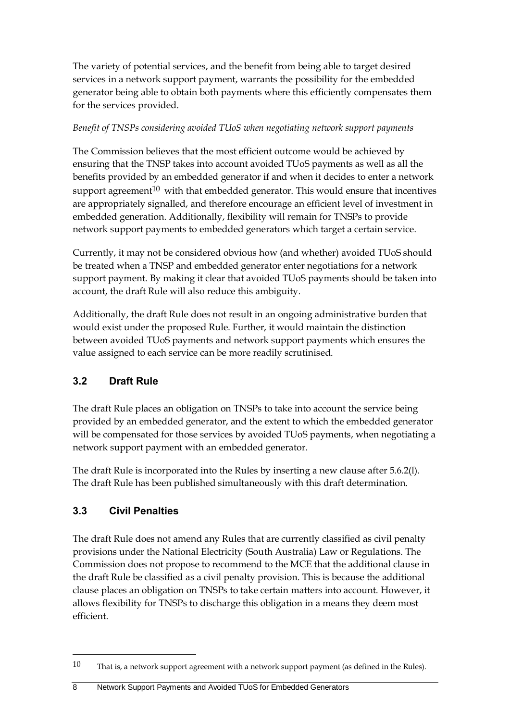The variety of potential services, and the benefit from being able to target desired services in a network support payment, warrants the possibility for the embedded generator being able to obtain both payments where this efficiently compensates them for the services provided.

### *Benefit of TNSPs considering avoided TUoS when negotiating network support payments*

The Commission believes that the most efficient outcome would be achieved by ensuring that the TNSP takes into account avoided TUoS payments as well as all the benefits provided by an embedded generator if and when it decides to enter a network support agreement<sup>10</sup> with that embedded generator. This would ensure that incentives are appropriately signalled, and therefore encourage an efficient level of investment in embedded generation. Additionally, flexibility will remain for TNSPs to provide network support payments to embedded generators which target a certain service.

Currently, it may not be considered obvious how (and whether) avoided TUoS should be treated when a TNSP and embedded generator enter negotiations for a network support payment. By making it clear that avoided TUoS payments should be taken into account, the draft Rule will also reduce this ambiguity.

Additionally, the draft Rule does not result in an ongoing administrative burden that would exist under the proposed Rule. Further, it would maintain the distinction between avoided TUoS payments and network support payments which ensures the value assigned to each service can be more readily scrutinised.

## <span id="page-13-0"></span>**3.2 Draft Rule**

The draft Rule places an obligation on TNSPs to take into account the service being provided by an embedded generator, and the extent to which the embedded generator will be compensated for those services by avoided TUoS payments, when negotiating a network support payment with an embedded generator.

The draft Rule is incorporated into the Rules by inserting a new clause after 5.6.2(l). The draft Rule has been published simultaneously with this draft determination.

## <span id="page-13-1"></span>**3.3 Civil Penalties**

 $\overline{a}$ 

The draft Rule does not amend any Rules that are currently classified as civil penalty provisions under the National Electricity (South Australia) Law or Regulations. The Commission does not propose to recommend to the MCE that the additional clause in the draft Rule be classified as a civil penalty provision. This is because the additional clause places an obligation on TNSPs to take certain matters into account. However, it allows flexibility for TNSPs to discharge this obligation in a means they deem most efficient.

<sup>10</sup> That is, a network support agreement with a network support payment (as defined in the Rules).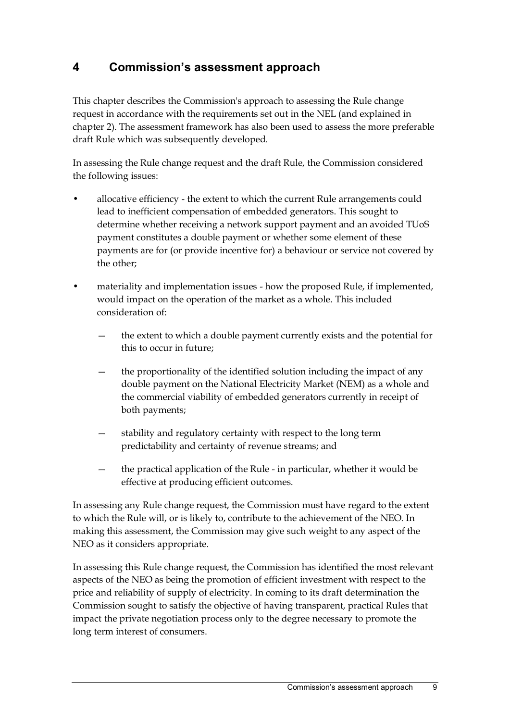## <span id="page-14-0"></span>**4 Commission's assessment approach**

This chapter describes the Commission's approach to assessing the Rule change request in accordance with the requirements set out in the NEL (and explained in chapter 2). The assessment framework has also been used to assess the more preferable draft Rule which was subsequently developed.

In assessing the Rule change request and the draft Rule, the Commission considered the following issues:

- allocative efficiency the extent to which the current Rule arrangements could lead to inefficient compensation of embedded generators. This sought to determine whether receiving a network support payment and an avoided TUoS payment constitutes a double payment or whether some element of these payments are for (or provide incentive for) a behaviour or service not covered by the other;
- materiality and implementation issues how the proposed Rule, if implemented, would impact on the operation of the market as a whole. This included consideration of:
	- the extent to which a double payment currently exists and the potential for this to occur in future;
	- the proportionality of the identified solution including the impact of any double payment on the National Electricity Market (NEM) as a whole and the commercial viability of embedded generators currently in receipt of both payments;
	- stability and regulatory certainty with respect to the long term predictability and certainty of revenue streams; and
	- the practical application of the Rule in particular, whether it would be effective at producing efficient outcomes.

In assessing any Rule change request, the Commission must have regard to the extent to which the Rule will, or is likely to, contribute to the achievement of the NEO. In making this assessment, the Commission may give such weight to any aspect of the NEO as it considers appropriate.

In assessing this Rule change request, the Commission has identified the most relevant aspects of the NEO as being the promotion of efficient investment with respect to the price and reliability of supply of electricity. In coming to its draft determination the Commission sought to satisfy the objective of having transparent, practical Rules that impact the private negotiation process only to the degree necessary to promote the long term interest of consumers.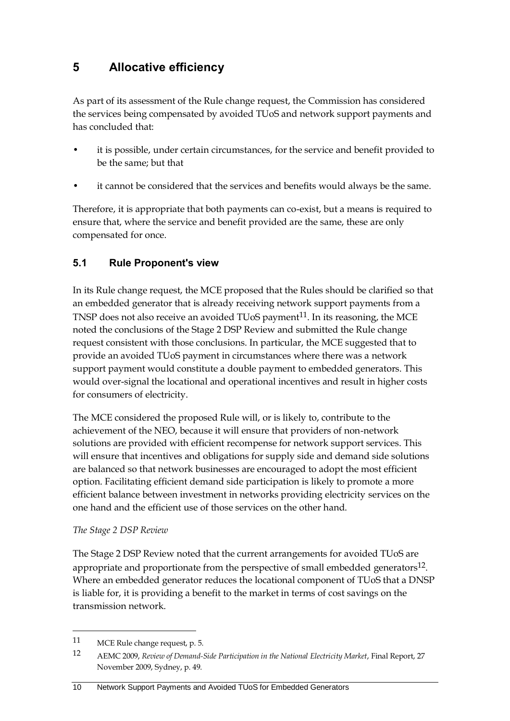## <span id="page-15-0"></span>**5 Allocative efficiency**

As part of its assessment of the Rule change request, the Commission has considered the services being compensated by avoided TUoS and network support payments and has concluded that:

- it is possible, under certain circumstances, for the service and benefit provided to be the same; but that
- it cannot be considered that the services and benefits would always be the same.

Therefore, it is appropriate that both payments can co-exist, but a means is required to ensure that, where the service and benefit provided are the same, these are only compensated for once.

### <span id="page-15-1"></span>**5.1 Rule Proponent's view**

In its Rule change request, the MCE proposed that the Rules should be clarified so that an embedded generator that is already receiving network support payments from a TNSP does not also receive an avoided TUoS payment<sup>11</sup>. In its reasoning, the MCE noted the conclusions of the Stage 2 DSP Review and submitted the Rule change request consistent with those conclusions. In particular, the MCE suggested that to provide an avoided TUoS payment in circumstances where there was a network support payment would constitute a double payment to embedded generators. This would over-signal the locational and operational incentives and result in higher costs for consumers of electricity.

The MCE considered the proposed Rule will, or is likely to, contribute to the achievement of the NEO, because it will ensure that providers of non-network solutions are provided with efficient recompense for network support services. This will ensure that incentives and obligations for supply side and demand side solutions are balanced so that network businesses are encouraged to adopt the most efficient option. Facilitating efficient demand side participation is likely to promote a more efficient balance between investment in networks providing electricity services on the one hand and the efficient use of those services on the other hand.

### *The Stage 2 DSP Review*

The Stage 2 DSP Review noted that the current arrangements for avoided TUoS are appropriate and proportionate from the perspective of small embedded generators $^{12}$ . Where an embedded generator reduces the locational component of TUoS that a DNSP is liable for, it is providing a benefit to the market in terms of cost savings on the transmission network.

<sup>11</sup> MCE Rule change request, p. 5.

<sup>12</sup> AEMC 2009, *Review of Demand-Side Participation in the National Electricity Market*, Final Report, 27 November 2009, Sydney, p. 49.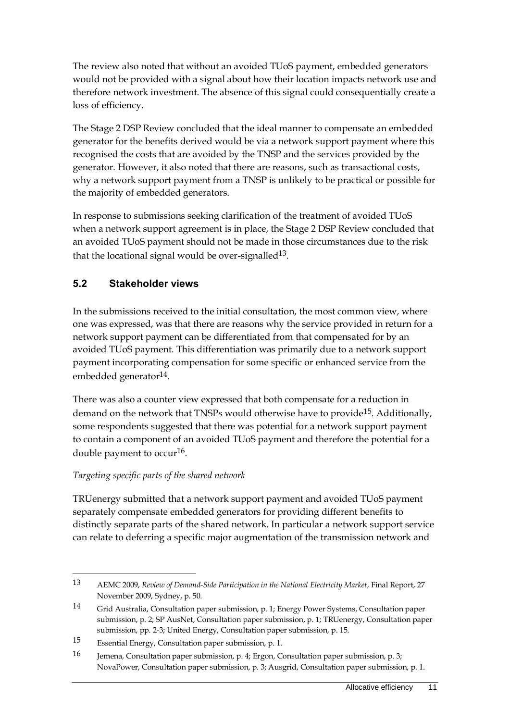The review also noted that without an avoided TUoS payment, embedded generators would not be provided with a signal about how their location impacts network use and therefore network investment. The absence of this signal could consequentially create a loss of efficiency.

The Stage 2 DSP Review concluded that the ideal manner to compensate an embedded generator for the benefits derived would be via a network support payment where this recognised the costs that are avoided by the TNSP and the services provided by the generator. However, it also noted that there are reasons, such as transactional costs, why a network support payment from a TNSP is unlikely to be practical or possible for the majority of embedded generators.

In response to submissions seeking clarification of the treatment of avoided TUoS when a network support agreement is in place, the Stage 2 DSP Review concluded that an avoided TUoS payment should not be made in those circumstances due to the risk that the locational signal would be over-signalled<sup>13</sup>.

## <span id="page-16-0"></span>**5.2 Stakeholder views**

In the submissions received to the initial consultation, the most common view, where one was expressed, was that there are reasons why the service provided in return for a network support payment can be differentiated from that compensated for by an avoided TUoS payment. This differentiation was primarily due to a network support payment incorporating compensation for some specific or enhanced service from the embedded generator<sup>14</sup>.

There was also a counter view expressed that both compensate for a reduction in demand on the network that TNSPs would otherwise have to provide<sup>15</sup>. Additionally, some respondents suggested that there was potential for a network support payment to contain a component of an avoided TUoS payment and therefore the potential for a double payment to occur<sup>16</sup>.

### *Targeting specific parts of the shared network*

 $\overline{a}$ 

TRUenergy submitted that a network support payment and avoided TUoS payment separately compensate embedded generators for providing different benefits to distinctly separate parts of the shared network. In particular a network support service can relate to deferring a specific major augmentation of the transmission network and

<sup>13</sup> AEMC 2009, *Review of Demand-Side Participation in the National Electricity Market*, Final Report, 27 November 2009, Sydney, p. 50.

<sup>14</sup> Grid Australia, Consultation paper submission, p. 1; Energy Power Systems, Consultation paper submission, p. 2; SP AusNet, Consultation paper submission, p. 1; TRUenergy, Consultation paper submission, pp. 2-3; United Energy, Consultation paper submission, p. 15.

<sup>15</sup> Essential Energy, Consultation paper submission, p. 1.

<sup>16</sup> Jemena, Consultation paper submission, p. 4; Ergon, Consultation paper submission, p. 3; NovaPower, Consultation paper submission, p. 3; Ausgrid, Consultation paper submission, p. 1.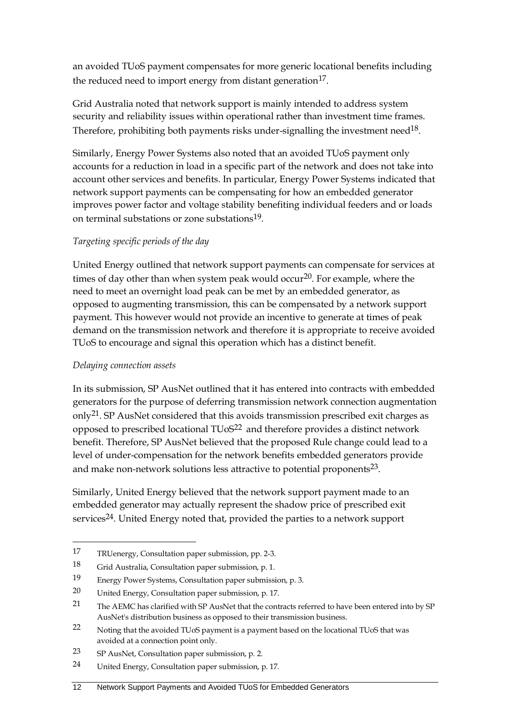an avoided TUoS payment compensates for more generic locational benefits including the reduced need to import energy from distant generation<sup>17</sup>.

Grid Australia noted that network support is mainly intended to address system security and reliability issues within operational rather than investment time frames. Therefore, prohibiting both payments risks under-signalling the investment need $18$ .

Similarly, Energy Power Systems also noted that an avoided TUoS payment only accounts for a reduction in load in a specific part of the network and does not take into account other services and benefits. In particular, Energy Power Systems indicated that network support payments can be compensating for how an embedded generator improves power factor and voltage stability benefiting individual feeders and or loads on terminal substations or zone substations19.

### *Targeting specific periods of the day*

United Energy outlined that network support payments can compensate for services at times of day other than when system peak would occur<sup>20</sup>. For example, where the need to meet an overnight load peak can be met by an embedded generator, as opposed to augmenting transmission, this can be compensated by a network support payment. This however would not provide an incentive to generate at times of peak demand on the transmission network and therefore it is appropriate to receive avoided TUoS to encourage and signal this operation which has a distinct benefit.

### *Delaying connection assets*

 $\overline{a}$ 

In its submission, SP AusNet outlined that it has entered into contracts with embedded generators for the purpose of deferring transmission network connection augmentation only<sup>21</sup>. SP AusNet considered that this avoids transmission prescribed exit charges as opposed to prescribed locational TUoS22 and therefore provides a distinct network benefit. Therefore, SP AusNet believed that the proposed Rule change could lead to a level of under-compensation for the network benefits embedded generators provide and make non-network solutions less attractive to potential proponents<sup>23</sup>.

Similarly, United Energy believed that the network support payment made to an embedded generator may actually represent the shadow price of prescribed exit services<sup>24</sup>. United Energy noted that, provided the parties to a network support

<sup>17</sup> TRUenergy, Consultation paper submission, pp. 2-3.

<sup>18</sup> Grid Australia, Consultation paper submission, p. 1.

<sup>19</sup> Energy Power Systems, Consultation paper submission, p. 3.

<sup>20</sup> United Energy, Consultation paper submission, p. 17.

<sup>21</sup> The AEMC has clarified with SP AusNet that the contracts referred to have been entered into by SP AusNet's distribution business as opposed to their transmission business.

<sup>22</sup> Noting that the avoided TUoS payment is a payment based on the locational TUoS that was avoided at a connection point only.

<sup>23</sup> SP AusNet, Consultation paper submission, p. 2.

<sup>24</sup> United Energy, Consultation paper submission, p. 17.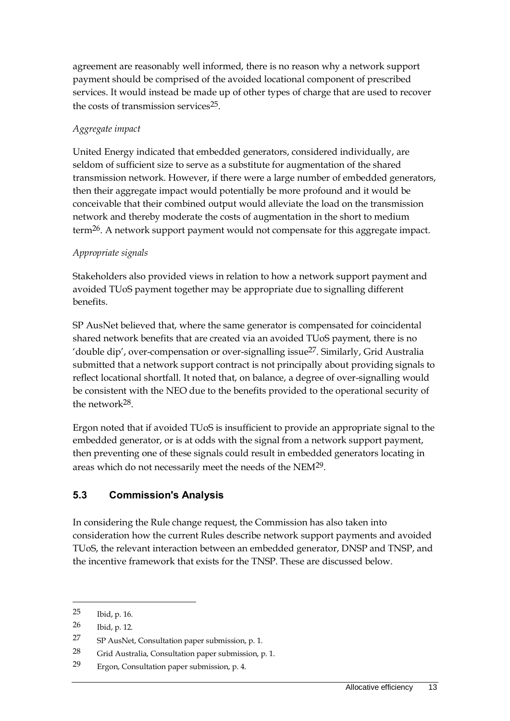agreement are reasonably well informed, there is no reason why a network support payment should be comprised of the avoided locational component of prescribed services. It would instead be made up of other types of charge that are used to recover the costs of transmission services $25$ .

### *Aggregate impact*

United Energy indicated that embedded generators, considered individually, are seldom of sufficient size to serve as a substitute for augmentation of the shared transmission network. However, if there were a large number of embedded generators, then their aggregate impact would potentially be more profound and it would be conceivable that their combined output would alleviate the load on the transmission network and thereby moderate the costs of augmentation in the short to medium term<sup>26</sup>. A network support payment would not compensate for this aggregate impact.

### *Appropriate signals*

Stakeholders also provided views in relation to how a network support payment and avoided TUoS payment together may be appropriate due to signalling different benefits.

SP AusNet believed that, where the same generator is compensated for coincidental shared network benefits that are created via an avoided TUoS payment, there is no 'double dip', over-compensation or over-signalling issue27. Similarly, Grid Australia submitted that a network support contract is not principally about providing signals to reflect locational shortfall. It noted that, on balance, a degree of over-signalling would be consistent with the NEO due to the benefits provided to the operational security of the network28.

Ergon noted that if avoided TUoS is insufficient to provide an appropriate signal to the embedded generator, or is at odds with the signal from a network support payment, then preventing one of these signals could result in embedded generators locating in areas which do not necessarily meet the needs of the NEM29.

### <span id="page-18-0"></span>**5.3 Commission's Analysis**

In considering the Rule change request, the Commission has also taken into consideration how the current Rules describe network support payments and avoided TUoS, the relevant interaction between an embedded generator, DNSP and TNSP, and the incentive framework that exists for the TNSP. These are discussed below.

<sup>25</sup> Ibid, p. 16.

<sup>26</sup> Ibid, p. 12.

<sup>27</sup> SP AusNet, Consultation paper submission, p. 1.

<sup>28</sup> Grid Australia, Consultation paper submission, p. 1.

<sup>29</sup> Ergon, Consultation paper submission, p. 4.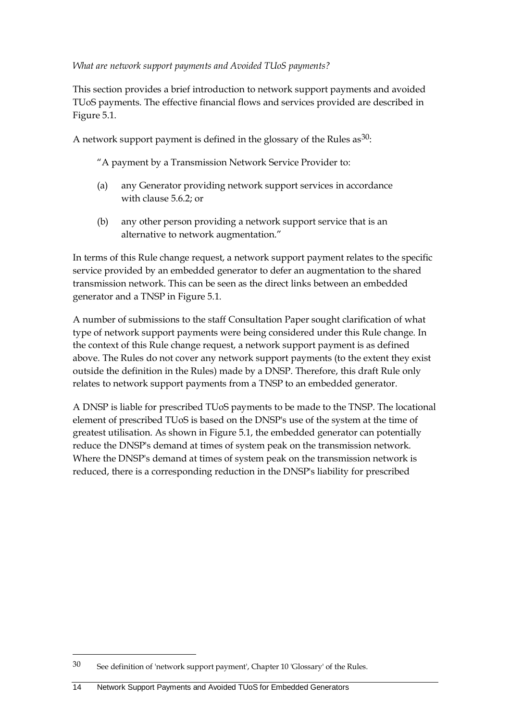*What are network support payments and Avoided TUoS payments?*

This section provides a brief introduction to network support payments and avoided TUoS payments. The effective financial flows and services provided are described in Figure 5.1.

A network support payment is defined in the glossary of the Rules as  $30$ :

"A payment by a Transmission Network Service Provider to:

- (a) any Generator providing network support services in accordance with clause 5.6.2; or
- (b) any other person providing a network support service that is an alternative to network augmentation."

In terms of this Rule change request, a network support payment relates to the specific service provided by an embedded generator to defer an augmentation to the shared transmission network. This can be seen as the direct links between an embedded generator and a TNSP in Figure 5.1.

A number of submissions to the staff Consultation Paper sought clarification of what type of network support payments were being considered under this Rule change. In the context of this Rule change request, a network support payment is as defined above. The Rules do not cover any network support payments (to the extent they exist outside the definition in the Rules) made by a DNSP. Therefore, this draft Rule only relates to network support payments from a TNSP to an embedded generator.

A DNSP is liable for prescribed TUoS payments to be made to the TNSP. The locational element of prescribed TUoS is based on the DNSP's use of the system at the time of greatest utilisation. As shown in Figure 5.1, the embedded generator can potentially reduce the DNSP's demand at times of system peak on the transmission network. Where the DNSP's demand at times of system peak on the transmission network is reduced, there is a corresponding reduction in the DNSP's liability for prescribed

<sup>30</sup> See definition of 'network support payment', Chapter 10 'Glossary' of the Rules.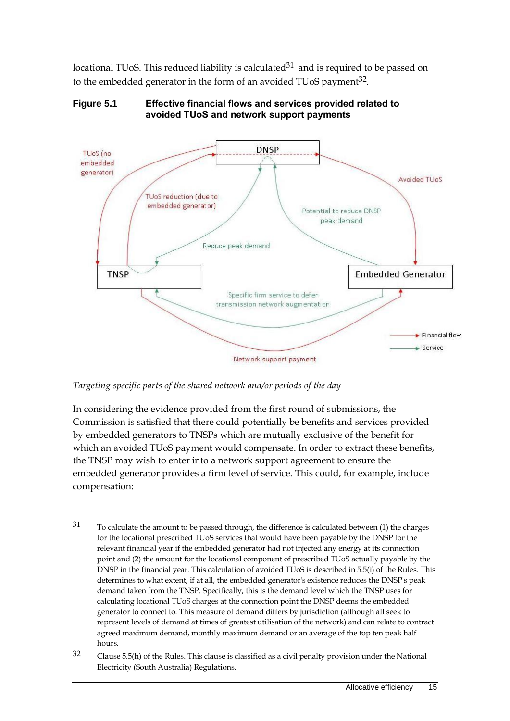locational TUoS. This reduced liability is calculated $31$  and is required to be passed on to the embedded generator in the form of an avoided TUoS payment<sup>32</sup>.



**Figure 5.1 Effective financial flows and services provided related to avoided TUoS and network support payments**

*Targeting specific parts of the shared network and/or periods of the day*

 $\overline{a}$ 

In considering the evidence provided from the first round of submissions, the Commission is satisfied that there could potentially be benefits and services provided by embedded generators to TNSPs which are mutually exclusive of the benefit for which an avoided TUoS payment would compensate. In order to extract these benefits, the TNSP may wish to enter into a network support agreement to ensure the embedded generator provides a firm level of service. This could, for example, include compensation:

<sup>31</sup> To calculate the amount to be passed through, the difference is calculated between (1) the charges for the locational prescribed TUoS services that would have been payable by the DNSP for the relevant financial year if the embedded generator had not injected any energy at its connection point and (2) the amount for the locational component of prescribed TUoS actually payable by the DNSP in the financial year. This calculation of avoided TUoS is described in 5.5(i) of the Rules. This determines to what extent, if at all, the embedded generator's existence reduces the DNSP's peak demand taken from the TNSP. Specifically, this is the demand level which the TNSP uses for calculating locational TUoS charges at the connection point the DNSP deems the embedded generator to connect to. This measure of demand differs by jurisdiction (although all seek to represent levels of demand at times of greatest utilisation of the network) and can relate to contract agreed maximum demand, monthly maximum demand or an average of the top ten peak half hours.

 $32$  Clause 5.5(h) of the Rules. This clause is classified as a civil penalty provision under the National Electricity (South Australia) Regulations.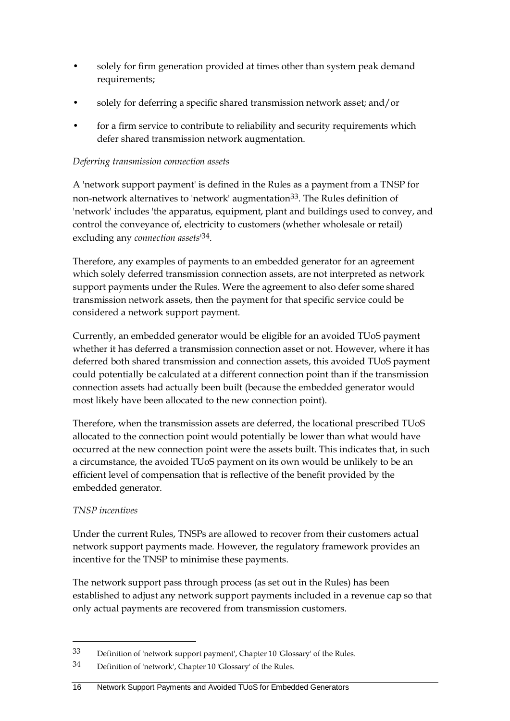- solely for firm generation provided at times other than system peak demand requirements;
- solely for deferring a specific shared transmission network asset; and/or
- for a firm service to contribute to reliability and security requirements which defer shared transmission network augmentation.

### *Deferring transmission connection assets*

A 'network support payment' is defined in the Rules as a payment from a TNSP for non-network alternatives to 'network' augmentation<sup>33</sup>. The Rules definition of 'network' includes 'the apparatus, equipment, plant and buildings used to convey, and control the conveyance of, electricity to customers (whether wholesale or retail) excluding any *connection assets*' 34.

Therefore, any examples of payments to an embedded generator for an agreement which solely deferred transmission connection assets, are not interpreted as network support payments under the Rules. Were the agreement to also defer some shared transmission network assets, then the payment for that specific service could be considered a network support payment.

Currently, an embedded generator would be eligible for an avoided TUoS payment whether it has deferred a transmission connection asset or not. However, where it has deferred both shared transmission and connection assets, this avoided TUoS payment could potentially be calculated at a different connection point than if the transmission connection assets had actually been built (because the embedded generator would most likely have been allocated to the new connection point).

Therefore, when the transmission assets are deferred, the locational prescribed TUoS allocated to the connection point would potentially be lower than what would have occurred at the new connection point were the assets built. This indicates that, in such a circumstance, the avoided TUoS payment on its own would be unlikely to be an efficient level of compensation that is reflective of the benefit provided by the embedded generator.

### *TNSP incentives*

 $\overline{a}$ 

Under the current Rules, TNSPs are allowed to recover from their customers actual network support payments made. However, the regulatory framework provides an incentive for the TNSP to minimise these payments.

The network support pass through process (as set out in the Rules) has been established to adjust any network support payments included in a revenue cap so that only actual payments are recovered from transmission customers.

#### 16 Network Support Payments and Avoided TUoS for Embedded Generators

<sup>33</sup> Definition of 'network support payment', Chapter 10 'Glossary' of the Rules.

<sup>34</sup> Definition of 'network', Chapter 10 'Glossary' of the Rules.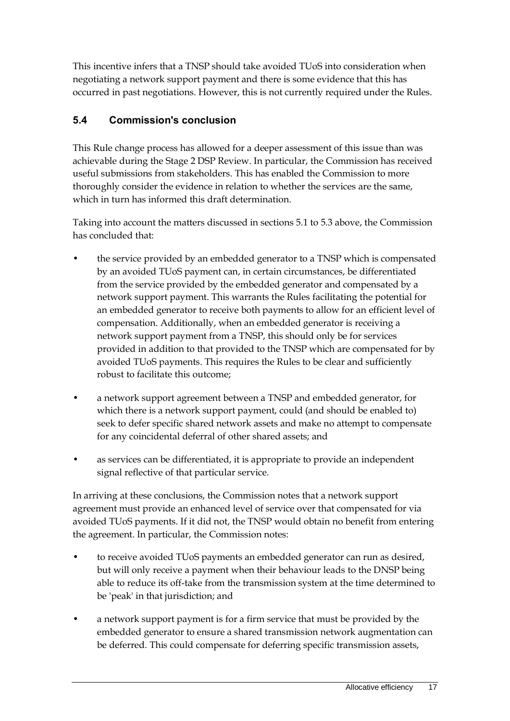This incentive infers that a TNSP should take avoided TUoS into consideration when negotiating a network support payment and there is some evidence that this has occurred in past negotiations. However, this is not currently required under the Rules.

## <span id="page-22-0"></span>**5.4 Commission's conclusion**

This Rule change process has allowed for a deeper assessment of this issue than was achievable during the Stage 2 DSP Review. In particular, the Commission has received useful submissions from stakeholders. This has enabled the Commission to more thoroughly consider the evidence in relation to whether the services are the same, which in turn has informed this draft determination.

Taking into account the matters discussed in sections 5.1 to 5.3 above, the Commission has concluded that:

- the service provided by an embedded generator to a TNSP which is compensated by an avoided TUoS payment can, in certain circumstances, be differentiated from the service provided by the embedded generator and compensated by a network support payment. This warrants the Rules facilitating the potential for an embedded generator to receive both payments to allow for an efficient level of compensation. Additionally, when an embedded generator is receiving a network support payment from a TNSP, this should only be for services provided in addition to that provided to the TNSP which are compensated for by avoided TUoS payments. This requires the Rules to be clear and sufficiently robust to facilitate this outcome;
- a network support agreement between a TNSP and embedded generator, for which there is a network support payment, could (and should be enabled to) seek to defer specific shared network assets and make no attempt to compensate for any coincidental deferral of other shared assets; and
- as services can be differentiated, it is appropriate to provide an independent signal reflective of that particular service.

In arriving at these conclusions, the Commission notes that a network support agreement must provide an enhanced level of service over that compensated for via avoided TUoS payments. If it did not, the TNSP would obtain no benefit from entering the agreement. In particular, the Commission notes:

- to receive avoided TUoS payments an embedded generator can run as desired, but will only receive a payment when their behaviour leads to the DNSP being able to reduce its off-take from the transmission system at the time determined to be 'peak' in that jurisdiction; and
- a network support payment is for a firm service that must be provided by the embedded generator to ensure a shared transmission network augmentation can be deferred. This could compensate for deferring specific transmission assets,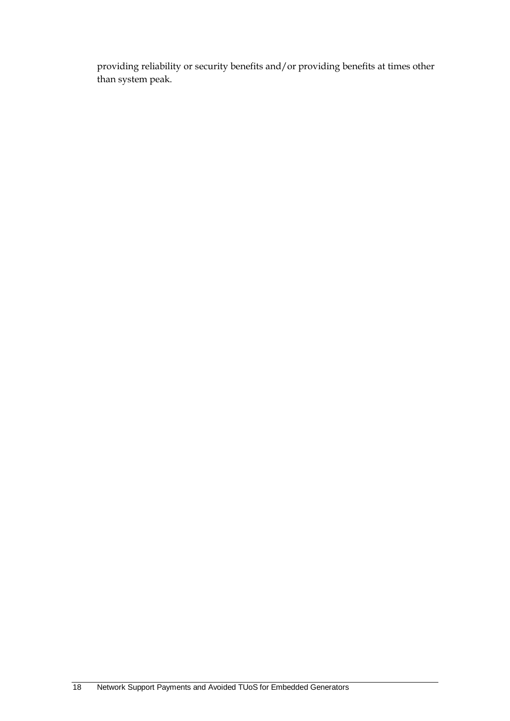providing reliability or security benefits and/or providing benefits at times other than system peak.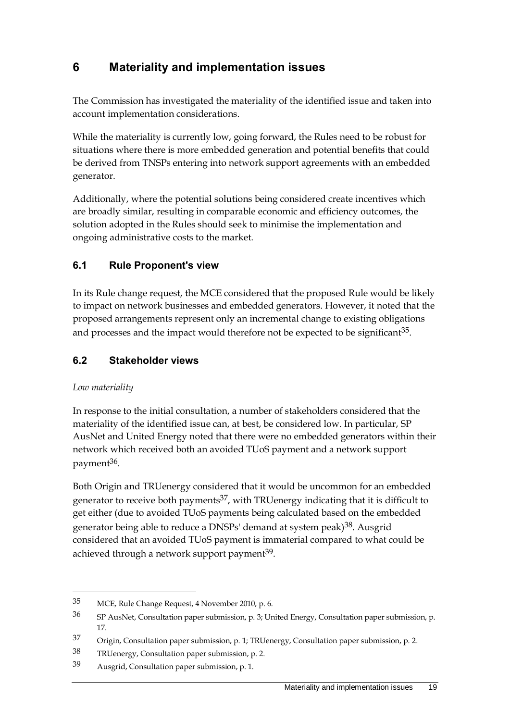## <span id="page-24-0"></span>**6 Materiality and implementation issues**

The Commission has investigated the materiality of the identified issue and taken into account implementation considerations.

While the materiality is currently low, going forward, the Rules need to be robust for situations where there is more embedded generation and potential benefits that could be derived from TNSPs entering into network support agreements with an embedded generator.

Additionally, where the potential solutions being considered create incentives which are broadly similar, resulting in comparable economic and efficiency outcomes, the solution adopted in the Rules should seek to minimise the implementation and ongoing administrative costs to the market.

### <span id="page-24-1"></span>**6.1 Rule Proponent's view**

In its Rule change request, the MCE considered that the proposed Rule would be likely to impact on network businesses and embedded generators. However, it noted that the proposed arrangements represent only an incremental change to existing obligations and processes and the impact would therefore not be expected to be significant $35$ .

### <span id="page-24-2"></span>**6.2 Stakeholder views**

### *Low materiality*

 $\overline{a}$ 

In response to the initial consultation, a number of stakeholders considered that the materiality of the identified issue can, at best, be considered low. In particular, SP AusNet and United Energy noted that there were no embedded generators within their network which received both an avoided TUoS payment and a network support payment<sup>36</sup>.

Both Origin and TRUenergy considered that it would be uncommon for an embedded generator to receive both payments<sup>37</sup>, with TRUenergy indicating that it is difficult to get either (due to avoided TUoS payments being calculated based on the embedded generator being able to reduce a DNSPs' demand at system peak)38. Ausgrid considered that an avoided TUoS payment is immaterial compared to what could be achieved through a network support payment<sup>39</sup>.

<sup>35</sup> MCE, Rule Change Request, 4 November 2010, p. 6.

<sup>36</sup> SP AusNet, Consultation paper submission, p. 3; United Energy, Consultation paper submission, p. 17.

<sup>37</sup> Origin, Consultation paper submission, p. 1; TRUenergy, Consultation paper submission, p. 2.

<sup>38</sup> TRUenergy, Consultation paper submission, p. 2.

<sup>39</sup> Ausgrid, Consultation paper submission, p. 1.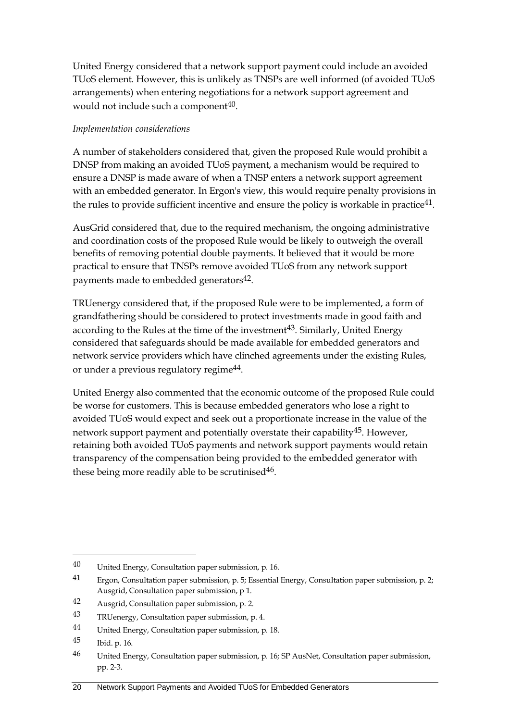United Energy considered that a network support payment could include an avoided TUoS element. However, this is unlikely as TNSPs are well informed (of avoided TUoS arrangements) when entering negotiations for a network support agreement and would not include such a component<sup>40</sup>.

### *Implementation considerations*

A number of stakeholders considered that, given the proposed Rule would prohibit a DNSP from making an avoided TUoS payment, a mechanism would be required to ensure a DNSP is made aware of when a TNSP enters a network support agreement with an embedded generator. In Ergon's view, this would require penalty provisions in the rules to provide sufficient incentive and ensure the policy is workable in practice<sup>41</sup>.

AusGrid considered that, due to the required mechanism, the ongoing administrative and coordination costs of the proposed Rule would be likely to outweigh the overall benefits of removing potential double payments. It believed that it would be more practical to ensure that TNSPs remove avoided TUoS from any network support payments made to embedded generators<sup>42</sup>.

TRUenergy considered that, if the proposed Rule were to be implemented, a form of grandfathering should be considered to protect investments made in good faith and according to the Rules at the time of the investment<sup>43</sup>. Similarly, United Energy considered that safeguards should be made available for embedded generators and network service providers which have clinched agreements under the existing Rules, or under a previous regulatory regime44.

United Energy also commented that the economic outcome of the proposed Rule could be worse for customers. This is because embedded generators who lose a right to avoided TUoS would expect and seek out a proportionate increase in the value of the network support payment and potentially overstate their capability<sup>45</sup>. However, retaining both avoided TUoS payments and network support payments would retain transparency of the compensation being provided to the embedded generator with these being more readily able to be scrutinised $46$ .

<span id="page-25-0"></span><sup>40</sup> United Energy, Consultation paper submission, p. 16.

<sup>41</sup> Ergon, Consultation paper submission, p. 5; Essential Energy, Consultation paper submission, p. 2; Ausgrid, Consultation paper submission, p 1.

<sup>42</sup> Ausgrid, Consultation paper submission, p. 2.

<sup>43</sup> TRUenergy, Consultation paper submission, p. 4.

<sup>44</sup> United Energy, Consultation paper submission, p. 18.

<sup>45</sup> Ibid. p. 16.

<sup>46</sup> United Energy, Consultation paper submission, p. 16; SP AusNet, Consultation paper submission, pp. 2-3.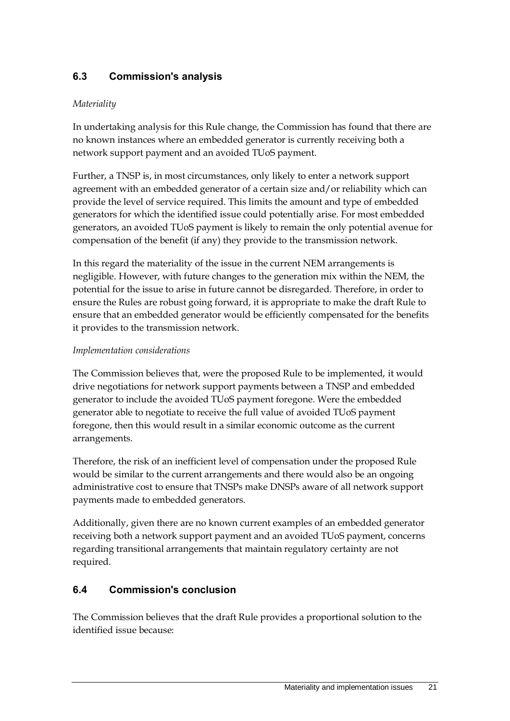## **6.3 Commission's analysis**

### *Materiality*

In undertaking analysis for this Rule change, the Commission has found that there are no known instances where an embedded generator is currently receiving both a network support payment and an avoided TUoS payment.

Further, a TNSP is, in most circumstances, only likely to enter a network support agreement with an embedded generator of a certain size and/or reliability which can provide the level of service required. This limits the amount and type of embedded generators for which the identified issue could potentially arise. For most embedded generators, an avoided TUoS payment is likely to remain the only potential avenue for compensation of the benefit (if any) they provide to the transmission network.

In this regard the materiality of the issue in the current NEM arrangements is negligible. However, with future changes to the generation mix within the NEM, the potential for the issue to arise in future cannot be disregarded. Therefore, in order to ensure the Rules are robust going forward, it is appropriate to make the draft Rule to ensure that an embedded generator would be efficiently compensated for the benefits it provides to the transmission network.

### *Implementation considerations*

The Commission believes that, were the proposed Rule to be implemented, it would drive negotiations for network support payments between a TNSP and embedded generator to include the avoided TUoS payment foregone. Were the embedded generator able to negotiate to receive the full value of avoided TUoS payment foregone, then this would result in a similar economic outcome as the current arrangements.

Therefore, the risk of an inefficient level of compensation under the proposed Rule would be similar to the current arrangements and there would also be an ongoing administrative cost to ensure that TNSPs make DNSPs aware of all network support payments made to embedded generators.

Additionally, given there are no known current examples of an embedded generator receiving both a network support payment and an avoided TUoS payment, concerns regarding transitional arrangements that maintain regulatory certainty are not required.

### <span id="page-26-0"></span>**6.4 Commission's conclusion**

The Commission believes that the draft Rule provides a proportional solution to the identified issue because: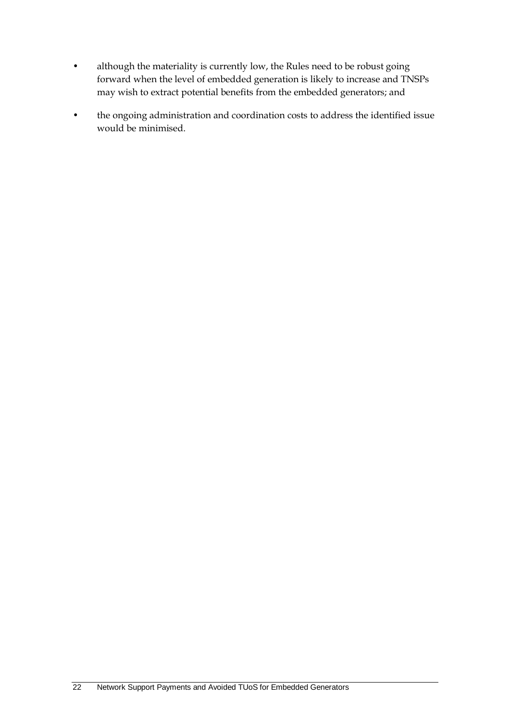- although the materiality is currently low, the Rules need to be robust going forward when the level of embedded generation is likely to increase and TNSPs may wish to extract potential benefits from the embedded generators; and
- the ongoing administration and coordination costs to address the identified issue would be minimised.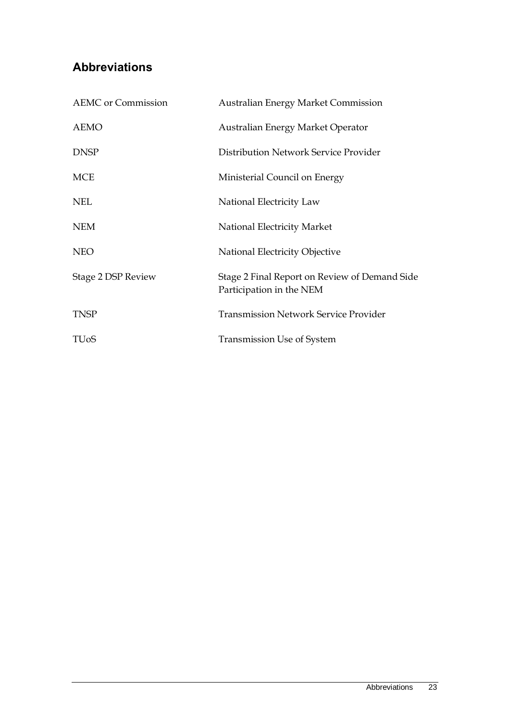## <span id="page-28-0"></span>**Abbreviations**

| <b>AEMC</b> or Commission | <b>Australian Energy Market Commission</b>                                |
|---------------------------|---------------------------------------------------------------------------|
| <b>AEMO</b>               | Australian Energy Market Operator                                         |
| <b>DNSP</b>               | Distribution Network Service Provider                                     |
| <b>MCE</b>                | Ministerial Council on Energy                                             |
| <b>NEL</b>                | National Electricity Law                                                  |
| <b>NEM</b>                | National Electricity Market                                               |
| <b>NEO</b>                | National Electricity Objective                                            |
| Stage 2 DSP Review        | Stage 2 Final Report on Review of Demand Side<br>Participation in the NEM |
| <b>TNSP</b>               | <b>Transmission Network Service Provider</b>                              |
| <b>TU<sub>o</sub>S</b>    | <b>Transmission Use of System</b>                                         |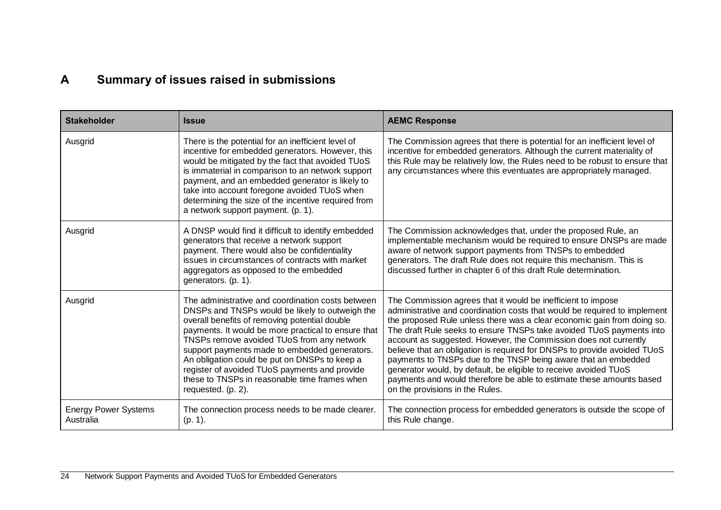## **A Summary of issues raised in submissions**

<span id="page-29-0"></span>

| <b>Stakeholder</b>                       | <b>Issue</b>                                                                                                                                                                                                                                                                                                                                                                                                                                                                         | <b>AEMC Response</b>                                                                                                                                                                                                                                                                                                                                                                                                                                                                                                                                                                                                                                                                          |
|------------------------------------------|--------------------------------------------------------------------------------------------------------------------------------------------------------------------------------------------------------------------------------------------------------------------------------------------------------------------------------------------------------------------------------------------------------------------------------------------------------------------------------------|-----------------------------------------------------------------------------------------------------------------------------------------------------------------------------------------------------------------------------------------------------------------------------------------------------------------------------------------------------------------------------------------------------------------------------------------------------------------------------------------------------------------------------------------------------------------------------------------------------------------------------------------------------------------------------------------------|
| Ausgrid                                  | There is the potential for an inefficient level of<br>incentive for embedded generators. However, this<br>would be mitigated by the fact that avoided TUoS<br>is immaterial in comparison to an network support<br>payment, and an embedded generator is likely to<br>take into account foregone avoided TUoS when<br>determining the size of the incentive required from<br>a network support payment. (p. 1).                                                                      | The Commission agrees that there is potential for an inefficient level of<br>incentive for embedded generators. Although the current materiality of<br>this Rule may be relatively low, the Rules need to be robust to ensure that<br>any circumstances where this eventuates are appropriately managed.                                                                                                                                                                                                                                                                                                                                                                                      |
| Ausgrid                                  | A DNSP would find it difficult to identify embedded<br>generators that receive a network support<br>payment. There would also be confidentiality<br>issues in circumstances of contracts with market<br>aggregators as opposed to the embedded<br>generators. (p. 1).                                                                                                                                                                                                                | The Commission acknowledges that, under the proposed Rule, an<br>implementable mechanism would be required to ensure DNSPs are made<br>aware of network support payments from TNSPs to embedded<br>generators. The draft Rule does not require this mechanism. This is<br>discussed further in chapter 6 of this draft Rule determination.                                                                                                                                                                                                                                                                                                                                                    |
| Ausgrid                                  | The administrative and coordination costs between<br>DNSPs and TNSPs would be likely to outweigh the<br>overall benefits of removing potential double<br>payments. It would be more practical to ensure that<br>TNSPs remove avoided TUoS from any network<br>support payments made to embedded generators.<br>An obligation could be put on DNSPs to keep a<br>register of avoided TUoS payments and provide<br>these to TNSPs in reasonable time frames when<br>requested. (p. 2). | The Commission agrees that it would be inefficient to impose<br>administrative and coordination costs that would be required to implement<br>the proposed Rule unless there was a clear economic gain from doing so.<br>The draft Rule seeks to ensure TNSPs take avoided TUoS payments into<br>account as suggested. However, the Commission does not currently<br>believe that an obligation is required for DNSPs to provide avoided TUoS<br>payments to TNSPs due to the TNSP being aware that an embedded<br>generator would, by default, be eligible to receive avoided TUoS<br>payments and would therefore be able to estimate these amounts based<br>on the provisions in the Rules. |
| <b>Energy Power Systems</b><br>Australia | The connection process needs to be made clearer.<br>$(p. 1)$ .                                                                                                                                                                                                                                                                                                                                                                                                                       | The connection process for embedded generators is outside the scope of<br>this Rule change.                                                                                                                                                                                                                                                                                                                                                                                                                                                                                                                                                                                                   |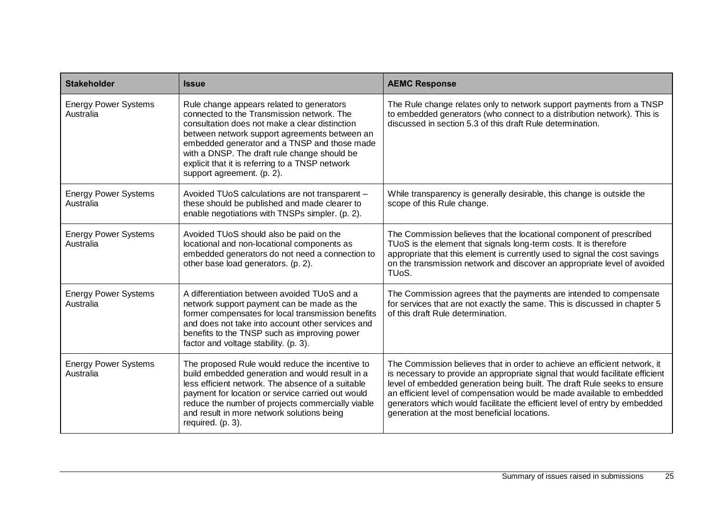| <b>Stakeholder</b>                       | <b>Issue</b>                                                                                                                                                                                                                                                                                                                                                                | <b>AEMC Response</b>                                                                                                                                                                                                                                                                                                                                                                                                                           |
|------------------------------------------|-----------------------------------------------------------------------------------------------------------------------------------------------------------------------------------------------------------------------------------------------------------------------------------------------------------------------------------------------------------------------------|------------------------------------------------------------------------------------------------------------------------------------------------------------------------------------------------------------------------------------------------------------------------------------------------------------------------------------------------------------------------------------------------------------------------------------------------|
| <b>Energy Power Systems</b><br>Australia | Rule change appears related to generators<br>connected to the Transmission network. The<br>consultation does not make a clear distinction<br>between network support agreements between an<br>embedded generator and a TNSP and those made<br>with a DNSP. The draft rule change should be<br>explicit that it is referring to a TNSP network<br>support agreement. (p. 2). | The Rule change relates only to network support payments from a TNSP<br>to embedded generators (who connect to a distribution network). This is<br>discussed in section 5.3 of this draft Rule determination.                                                                                                                                                                                                                                  |
| <b>Energy Power Systems</b><br>Australia | Avoided TUoS calculations are not transparent -<br>these should be published and made clearer to<br>enable negotiations with TNSPs simpler. (p. 2).                                                                                                                                                                                                                         | While transparency is generally desirable, this change is outside the<br>scope of this Rule change.                                                                                                                                                                                                                                                                                                                                            |
| <b>Energy Power Systems</b><br>Australia | Avoided TUoS should also be paid on the<br>locational and non-locational components as<br>embedded generators do not need a connection to<br>other base load generators. (p. 2).                                                                                                                                                                                            | The Commission believes that the locational component of prescribed<br>TUoS is the element that signals long-term costs. It is therefore<br>appropriate that this element is currently used to signal the cost savings<br>on the transmission network and discover an appropriate level of avoided<br>TU <sub>o</sub> S.                                                                                                                       |
| <b>Energy Power Systems</b><br>Australia | A differentiation between avoided TUoS and a<br>network support payment can be made as the<br>former compensates for local transmission benefits<br>and does not take into account other services and<br>benefits to the TNSP such as improving power<br>factor and voltage stability. (p. 3).                                                                              | The Commission agrees that the payments are intended to compensate<br>for services that are not exactly the same. This is discussed in chapter 5<br>of this draft Rule determination.                                                                                                                                                                                                                                                          |
| <b>Energy Power Systems</b><br>Australia | The proposed Rule would reduce the incentive to<br>build embedded generation and would result in a<br>less efficient network. The absence of a suitable<br>payment for location or service carried out would<br>reduce the number of projects commercially viable<br>and result in more network solutions being<br>required. (p. 3).                                        | The Commission believes that in order to achieve an efficient network, it<br>is necessary to provide an appropriate signal that would facilitate efficient<br>level of embedded generation being built. The draft Rule seeks to ensure<br>an efficient level of compensation would be made available to embedded<br>generators which would facilitate the efficient level of entry by embedded<br>generation at the most beneficial locations. |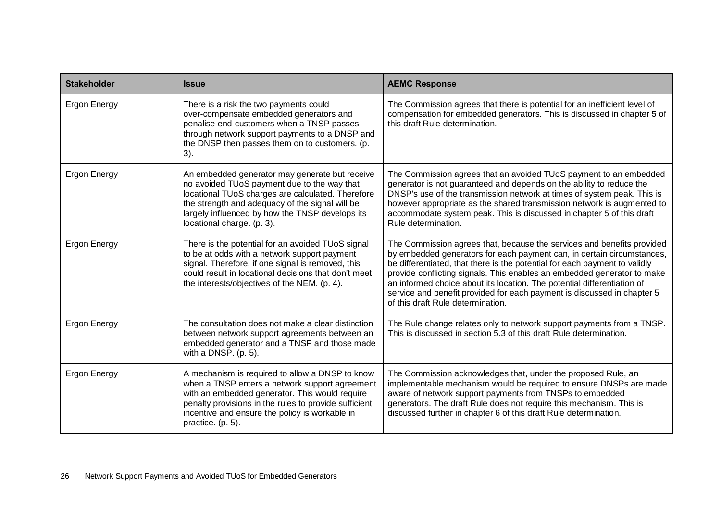| <b>Stakeholder</b>  | <b>Issue</b>                                                                                                                                                                                                                                                                           | <b>AEMC Response</b>                                                                                                                                                                                                                                                                                                                                                                                                                                                                                 |
|---------------------|----------------------------------------------------------------------------------------------------------------------------------------------------------------------------------------------------------------------------------------------------------------------------------------|------------------------------------------------------------------------------------------------------------------------------------------------------------------------------------------------------------------------------------------------------------------------------------------------------------------------------------------------------------------------------------------------------------------------------------------------------------------------------------------------------|
| <b>Ergon Energy</b> | There is a risk the two payments could<br>over-compensate embedded generators and<br>penalise end-customers when a TNSP passes<br>through network support payments to a DNSP and<br>the DNSP then passes them on to customers. (p.<br>$3)$ .                                           | The Commission agrees that there is potential for an inefficient level of<br>compensation for embedded generators. This is discussed in chapter 5 of<br>this draft Rule determination.                                                                                                                                                                                                                                                                                                               |
| <b>Ergon Energy</b> | An embedded generator may generate but receive<br>no avoided TUoS payment due to the way that<br>locational TUoS charges are calculated. Therefore<br>the strength and adequacy of the signal will be<br>largely influenced by how the TNSP develops its<br>locational charge. (p. 3). | The Commission agrees that an avoided TUoS payment to an embedded<br>generator is not guaranteed and depends on the ability to reduce the<br>DNSP's use of the transmission network at times of system peak. This is<br>however appropriate as the shared transmission network is augmented to<br>accommodate system peak. This is discussed in chapter 5 of this draft<br>Rule determination.                                                                                                       |
| <b>Ergon Energy</b> | There is the potential for an avoided TUoS signal<br>to be at odds with a network support payment<br>signal. Therefore, if one signal is removed, this<br>could result in locational decisions that don't meet<br>the interests/objectives of the NEM. (p. 4).                         | The Commission agrees that, because the services and benefits provided<br>by embedded generators for each payment can, in certain circumstances,<br>be differentiated, that there is the potential for each payment to validly<br>provide conflicting signals. This enables an embedded generator to make<br>an informed choice about its location. The potential differentiation of<br>service and benefit provided for each payment is discussed in chapter 5<br>of this draft Rule determination. |
| <b>Ergon Energy</b> | The consultation does not make a clear distinction<br>between network support agreements between an<br>embedded generator and a TNSP and those made<br>with a DNSP. $(p. 5)$ .                                                                                                         | The Rule change relates only to network support payments from a TNSP.<br>This is discussed in section 5.3 of this draft Rule determination.                                                                                                                                                                                                                                                                                                                                                          |
| <b>Ergon Energy</b> | A mechanism is required to allow a DNSP to know<br>when a TNSP enters a network support agreement<br>with an embedded generator. This would require<br>penalty provisions in the rules to provide sufficient<br>incentive and ensure the policy is workable in<br>practice. (p. 5).    | The Commission acknowledges that, under the proposed Rule, an<br>implementable mechanism would be required to ensure DNSPs are made<br>aware of network support payments from TNSPs to embedded<br>generators. The draft Rule does not require this mechanism. This is<br>discussed further in chapter 6 of this draft Rule determination.                                                                                                                                                           |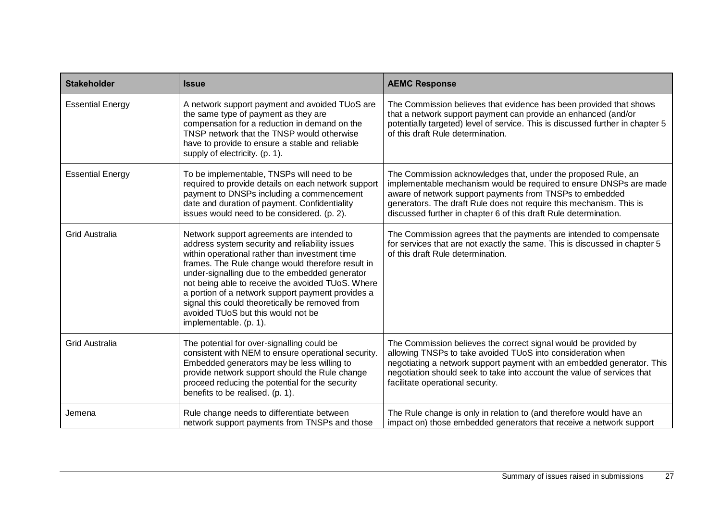| <b>Stakeholder</b>      | <b>Issue</b>                                                                                                                                                                                                                                                                                                                                                                                                                                                                       | <b>AEMC Response</b>                                                                                                                                                                                                                                                                                                                       |
|-------------------------|------------------------------------------------------------------------------------------------------------------------------------------------------------------------------------------------------------------------------------------------------------------------------------------------------------------------------------------------------------------------------------------------------------------------------------------------------------------------------------|--------------------------------------------------------------------------------------------------------------------------------------------------------------------------------------------------------------------------------------------------------------------------------------------------------------------------------------------|
| <b>Essential Energy</b> | A network support payment and avoided TUoS are<br>the same type of payment as they are<br>compensation for a reduction in demand on the<br>TNSP network that the TNSP would otherwise<br>have to provide to ensure a stable and reliable<br>supply of electricity. (p. 1).                                                                                                                                                                                                         | The Commission believes that evidence has been provided that shows<br>that a network support payment can provide an enhanced (and/or<br>potentially targeted) level of service. This is discussed further in chapter 5<br>of this draft Rule determination.                                                                                |
| <b>Essential Energy</b> | To be implementable, TNSPs will need to be<br>required to provide details on each network support<br>payment to DNSPs including a commencement<br>date and duration of payment. Confidentiality<br>issues would need to be considered. (p. 2).                                                                                                                                                                                                                                     | The Commission acknowledges that, under the proposed Rule, an<br>implementable mechanism would be required to ensure DNSPs are made<br>aware of network support payments from TNSPs to embedded<br>generators. The draft Rule does not require this mechanism. This is<br>discussed further in chapter 6 of this draft Rule determination. |
| <b>Grid Australia</b>   | Network support agreements are intended to<br>address system security and reliability issues<br>within operational rather than investment time<br>frames. The Rule change would therefore result in<br>under-signalling due to the embedded generator<br>not being able to receive the avoided TUoS. Where<br>a portion of a network support payment provides a<br>signal this could theoretically be removed from<br>avoided TUoS but this would not be<br>implementable. (p. 1). | The Commission agrees that the payments are intended to compensate<br>for services that are not exactly the same. This is discussed in chapter 5<br>of this draft Rule determination.                                                                                                                                                      |
| <b>Grid Australia</b>   | The potential for over-signalling could be<br>consistent with NEM to ensure operational security.<br>Embedded generators may be less willing to<br>provide network support should the Rule change<br>proceed reducing the potential for the security<br>benefits to be realised. (p. 1).                                                                                                                                                                                           | The Commission believes the correct signal would be provided by<br>allowing TNSPs to take avoided TUoS into consideration when<br>negotiating a network support payment with an embedded generator. This<br>negotiation should seek to take into account the value of services that<br>facilitate operational security.                    |
| Jemena                  | Rule change needs to differentiate between<br>network support payments from TNSPs and those                                                                                                                                                                                                                                                                                                                                                                                        | The Rule change is only in relation to (and therefore would have an<br>impact on) those embedded generators that receive a network support                                                                                                                                                                                                 |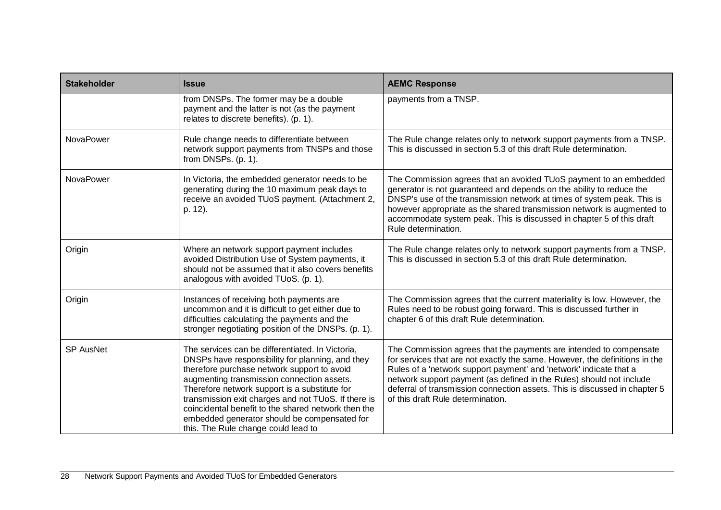| <b>Stakeholder</b> | <b>Issue</b>                                                                                                                                                                                                                                                                                                                                                                                                                                            | <b>AEMC Response</b>                                                                                                                                                                                                                                                                                                                                                                                               |
|--------------------|---------------------------------------------------------------------------------------------------------------------------------------------------------------------------------------------------------------------------------------------------------------------------------------------------------------------------------------------------------------------------------------------------------------------------------------------------------|--------------------------------------------------------------------------------------------------------------------------------------------------------------------------------------------------------------------------------------------------------------------------------------------------------------------------------------------------------------------------------------------------------------------|
|                    | from DNSPs. The former may be a double<br>payment and the latter is not (as the payment<br>relates to discrete benefits). (p. 1).                                                                                                                                                                                                                                                                                                                       | payments from a TNSP.                                                                                                                                                                                                                                                                                                                                                                                              |
| NovaPower          | Rule change needs to differentiate between<br>network support payments from TNSPs and those<br>from DNSPs. (p. 1).                                                                                                                                                                                                                                                                                                                                      | The Rule change relates only to network support payments from a TNSP.<br>This is discussed in section 5.3 of this draft Rule determination.                                                                                                                                                                                                                                                                        |
| NovaPower          | In Victoria, the embedded generator needs to be<br>generating during the 10 maximum peak days to<br>receive an avoided TUoS payment. (Attachment 2,<br>p. 12).                                                                                                                                                                                                                                                                                          | The Commission agrees that an avoided TUoS payment to an embedded<br>generator is not guaranteed and depends on the ability to reduce the<br>DNSP's use of the transmission network at times of system peak. This is<br>however appropriate as the shared transmission network is augmented to<br>accommodate system peak. This is discussed in chapter 5 of this draft<br>Rule determination.                     |
| Origin             | Where an network support payment includes<br>avoided Distribution Use of System payments, it<br>should not be assumed that it also covers benefits<br>analogous with avoided TUoS. (p. 1).                                                                                                                                                                                                                                                              | The Rule change relates only to network support payments from a TNSP.<br>This is discussed in section 5.3 of this draft Rule determination.                                                                                                                                                                                                                                                                        |
| Origin             | Instances of receiving both payments are<br>uncommon and it is difficult to get either due to<br>difficulties calculating the payments and the<br>stronger negotiating position of the DNSPs. (p. 1).                                                                                                                                                                                                                                                   | The Commission agrees that the current materiality is low. However, the<br>Rules need to be robust going forward. This is discussed further in<br>chapter 6 of this draft Rule determination.                                                                                                                                                                                                                      |
| SP AusNet          | The services can be differentiated. In Victoria,<br>DNSPs have responsibility for planning, and they<br>therefore purchase network support to avoid<br>augmenting transmission connection assets.<br>Therefore network support is a substitute for<br>transmission exit charges and not TUoS. If there is<br>coincidental benefit to the shared network then the<br>embedded generator should be compensated for<br>this. The Rule change could lead to | The Commission agrees that the payments are intended to compensate<br>for services that are not exactly the same. However, the definitions in the<br>Rules of a 'network support payment' and 'network' indicate that a<br>network support payment (as defined in the Rules) should not include<br>deferral of transmission connection assets. This is discussed in chapter 5<br>of this draft Rule determination. |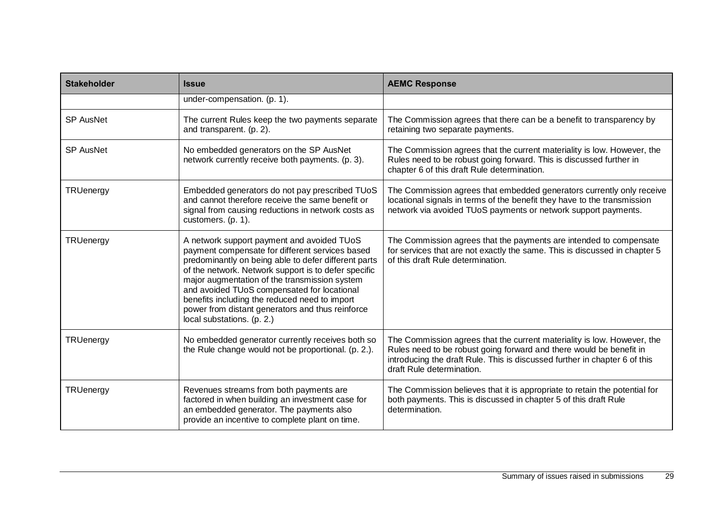| <b>Stakeholder</b> | <b>Issue</b>                                                                                                                                                                                                                                                                                                                                                                                                                                     | <b>AEMC Response</b>                                                                                                                                                                                                                                      |
|--------------------|--------------------------------------------------------------------------------------------------------------------------------------------------------------------------------------------------------------------------------------------------------------------------------------------------------------------------------------------------------------------------------------------------------------------------------------------------|-----------------------------------------------------------------------------------------------------------------------------------------------------------------------------------------------------------------------------------------------------------|
|                    | under-compensation. (p. 1).                                                                                                                                                                                                                                                                                                                                                                                                                      |                                                                                                                                                                                                                                                           |
| <b>SP AusNet</b>   | The current Rules keep the two payments separate<br>and transparent. (p. 2).                                                                                                                                                                                                                                                                                                                                                                     | The Commission agrees that there can be a benefit to transparency by<br>retaining two separate payments.                                                                                                                                                  |
| <b>SP AusNet</b>   | No embedded generators on the SP AusNet<br>network currently receive both payments. (p. 3).                                                                                                                                                                                                                                                                                                                                                      | The Commission agrees that the current materiality is low. However, the<br>Rules need to be robust going forward. This is discussed further in<br>chapter 6 of this draft Rule determination.                                                             |
| TRUenergy          | Embedded generators do not pay prescribed TUoS<br>and cannot therefore receive the same benefit or<br>signal from causing reductions in network costs as<br>customers. (p. 1).                                                                                                                                                                                                                                                                   | The Commission agrees that embedded generators currently only receive<br>locational signals in terms of the benefit they have to the transmission<br>network via avoided TUoS payments or network support payments.                                       |
| TRUenergy          | A network support payment and avoided TUoS<br>payment compensate for different services based<br>predominantly on being able to defer different parts<br>of the network. Network support is to defer specific<br>major augmentation of the transmission system<br>and avoided TUoS compensated for locational<br>benefits including the reduced need to import<br>power from distant generators and thus reinforce<br>local substations. (p. 2.) | The Commission agrees that the payments are intended to compensate<br>for services that are not exactly the same. This is discussed in chapter 5<br>of this draft Rule determination.                                                                     |
| TRUenergy          | No embedded generator currently receives both so<br>the Rule change would not be proportional. (p. 2.).                                                                                                                                                                                                                                                                                                                                          | The Commission agrees that the current materiality is low. However, the<br>Rules need to be robust going forward and there would be benefit in<br>introducing the draft Rule. This is discussed further in chapter 6 of this<br>draft Rule determination. |
| TRUenergy          | Revenues streams from both payments are<br>factored in when building an investment case for<br>an embedded generator. The payments also<br>provide an incentive to complete plant on time.                                                                                                                                                                                                                                                       | The Commission believes that it is appropriate to retain the potential for<br>both payments. This is discussed in chapter 5 of this draft Rule<br>determination.                                                                                          |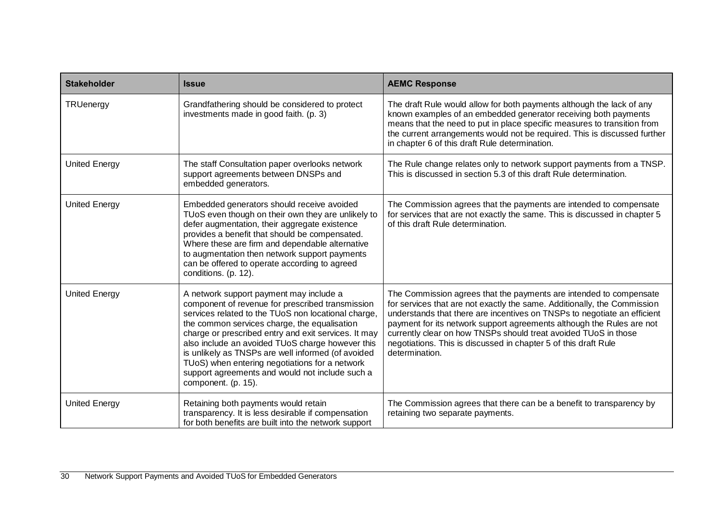| <b>Stakeholder</b>   | <b>Issue</b>                                                                                                                                                                                                                                                                                                                                                                                                                                                                                     | <b>AEMC Response</b>                                                                                                                                                                                                                                                                                                                                                                                                                                        |
|----------------------|--------------------------------------------------------------------------------------------------------------------------------------------------------------------------------------------------------------------------------------------------------------------------------------------------------------------------------------------------------------------------------------------------------------------------------------------------------------------------------------------------|-------------------------------------------------------------------------------------------------------------------------------------------------------------------------------------------------------------------------------------------------------------------------------------------------------------------------------------------------------------------------------------------------------------------------------------------------------------|
| TRUenergy            | Grandfathering should be considered to protect<br>investments made in good faith. (p. 3)                                                                                                                                                                                                                                                                                                                                                                                                         | The draft Rule would allow for both payments although the lack of any<br>known examples of an embedded generator receiving both payments<br>means that the need to put in place specific measures to transition from<br>the current arrangements would not be required. This is discussed further<br>in chapter 6 of this draft Rule determination.                                                                                                         |
| <b>United Energy</b> | The staff Consultation paper overlooks network<br>support agreements between DNSPs and<br>embedded generators.                                                                                                                                                                                                                                                                                                                                                                                   | The Rule change relates only to network support payments from a TNSP.<br>This is discussed in section 5.3 of this draft Rule determination.                                                                                                                                                                                                                                                                                                                 |
| <b>United Energy</b> | Embedded generators should receive avoided<br>TUoS even though on their own they are unlikely to<br>defer augmentation, their aggregate existence<br>provides a benefit that should be compensated.<br>Where these are firm and dependable alternative<br>to augmentation then network support payments<br>can be offered to operate according to agreed<br>conditions. (p. 12).                                                                                                                 | The Commission agrees that the payments are intended to compensate<br>for services that are not exactly the same. This is discussed in chapter 5<br>of this draft Rule determination.                                                                                                                                                                                                                                                                       |
| <b>United Energy</b> | A network support payment may include a<br>component of revenue for prescribed transmission<br>services related to the TUoS non locational charge,<br>the common services charge, the equalisation<br>charge or prescribed entry and exit services. It may<br>also include an avoided TUoS charge however this<br>is unlikely as TNSPs are well informed (of avoided<br>TUoS) when entering negotiations for a network<br>support agreements and would not include such a<br>component. (p. 15). | The Commission agrees that the payments are intended to compensate<br>for services that are not exactly the same. Additionally, the Commission<br>understands that there are incentives on TNSPs to negotiate an efficient<br>payment for its network support agreements although the Rules are not<br>currently clear on how TNSPs should treat avoided TUoS in those<br>negotiations. This is discussed in chapter 5 of this draft Rule<br>determination. |
| <b>United Energy</b> | Retaining both payments would retain<br>transparency. It is less desirable if compensation<br>for both benefits are built into the network support                                                                                                                                                                                                                                                                                                                                               | The Commission agrees that there can be a benefit to transparency by<br>retaining two separate payments.                                                                                                                                                                                                                                                                                                                                                    |